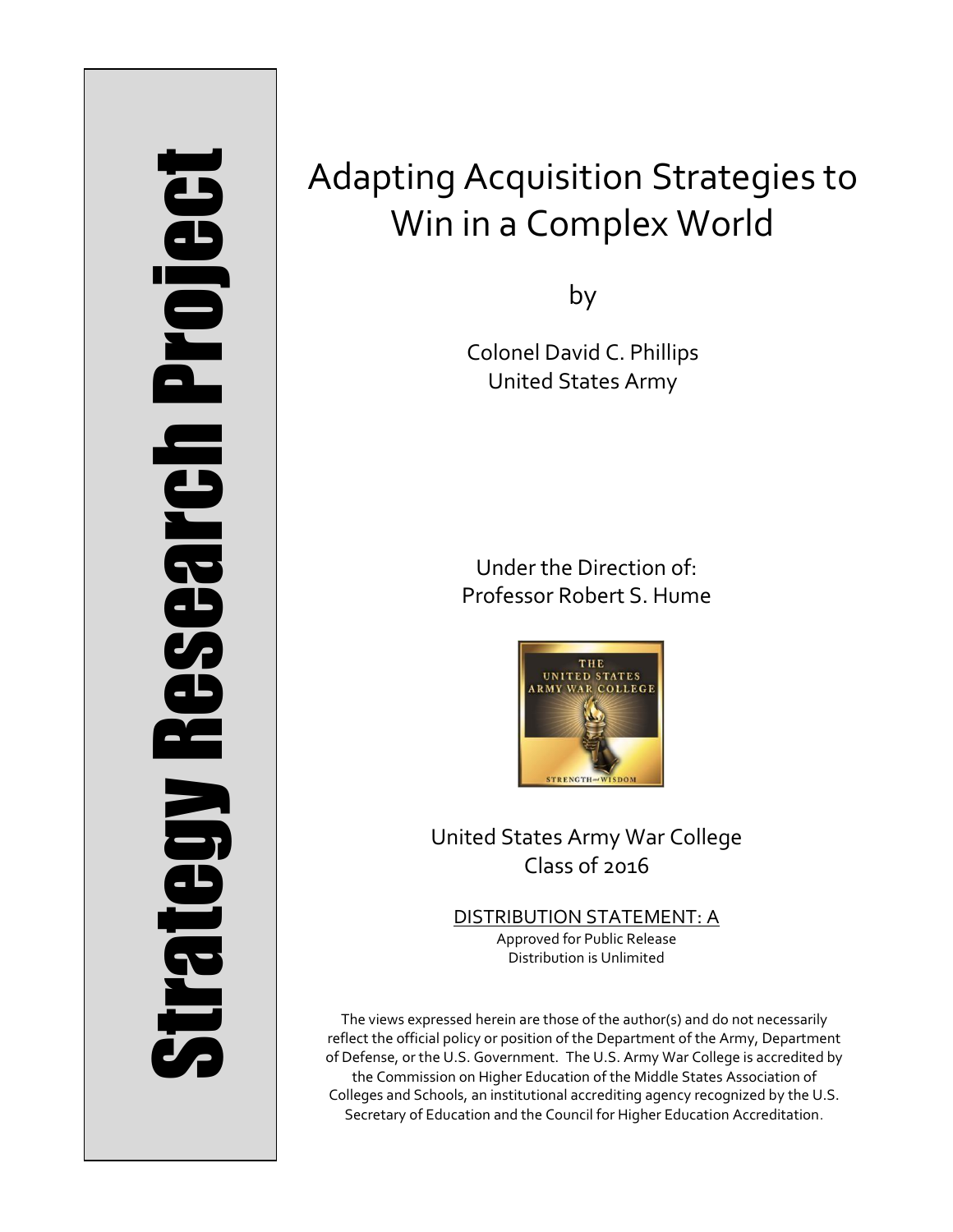# Strategy Research Project **Strategy Research Project**

# Adapting Acquisition Strategies to Win in a Complex World

by

Colonel David C. Phillips United States Army

Under the Direction of: Professor Robert S. Hume



United States Army War College Class of 2016

DISTRIBUTION STATEMENT: A Approved for Public Release Distribution is Unlimited

The views expressed herein are those of the author(s) and do not necessarily reflect the official policy or position of the Department of the Army, Department of Defense, or the U.S. Government. The U.S. Army War College is accredited by the Commission on Higher Education of the Middle States Association of Colleges and Schools, an institutional accrediting agency recognized by the U.S. Secretary of Education and the Council for Higher Education Accreditation.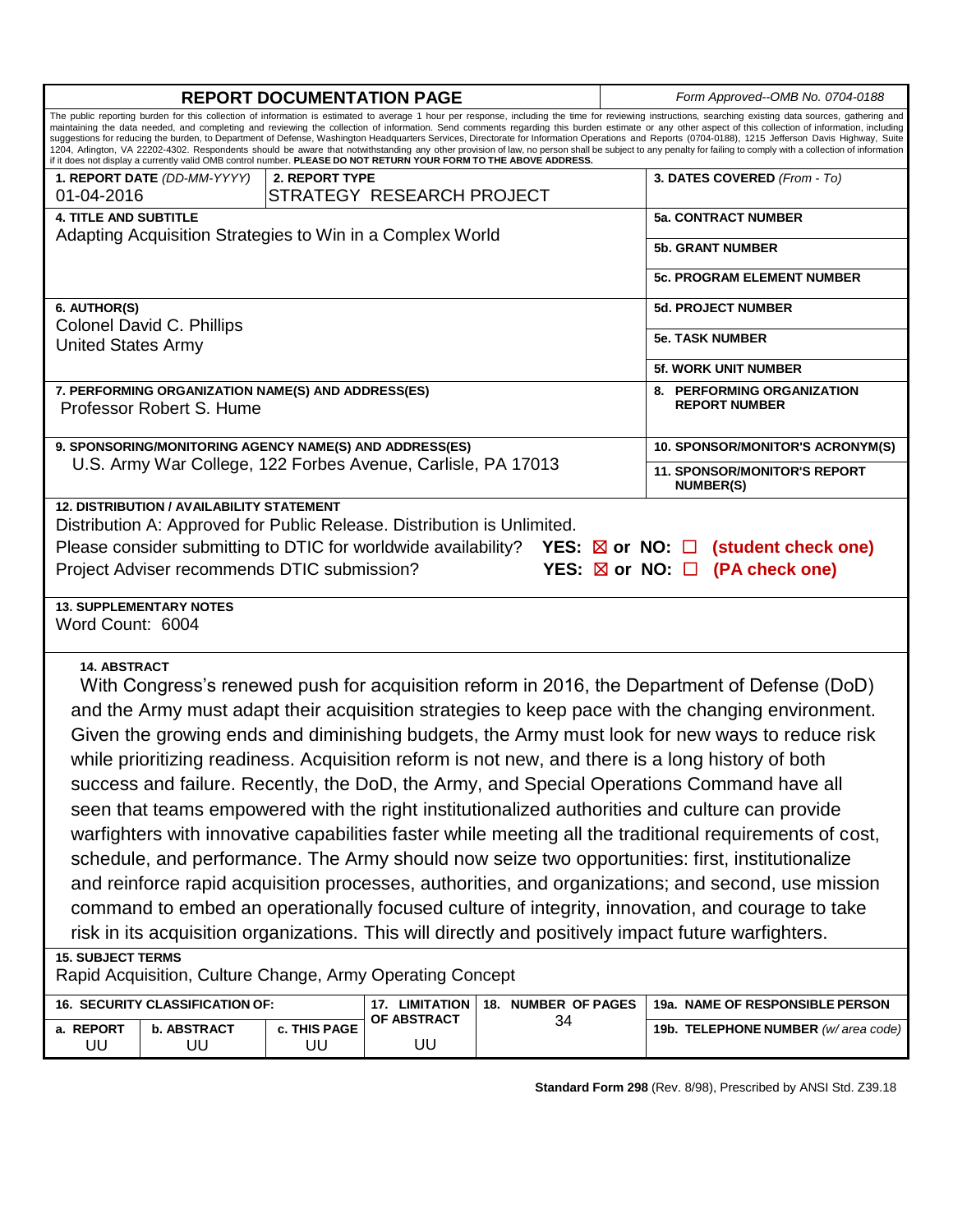| <b>REPORT DOCUMENTATION PAGE</b>                                                                                                                                                                                                                                                                                                                                                                                                                                                                                                                                                                                                                                                                                                                                                                                                                                                                                                                                  |                             |                |                           |                                           |  | Form Approved--OMB No. 0704-0188                        |  |
|-------------------------------------------------------------------------------------------------------------------------------------------------------------------------------------------------------------------------------------------------------------------------------------------------------------------------------------------------------------------------------------------------------------------------------------------------------------------------------------------------------------------------------------------------------------------------------------------------------------------------------------------------------------------------------------------------------------------------------------------------------------------------------------------------------------------------------------------------------------------------------------------------------------------------------------------------------------------|-----------------------------|----------------|---------------------------|-------------------------------------------|--|---------------------------------------------------------|--|
| The public reporting burden for this collection of information is estimated to average 1 hour per response, including the time for reviewing instructions, searching existing data sources, gathering and<br>maintaining the data needed, and completing and reviewing the collection of information. Send comments regarding this burden estimate or any other aspect of this collection of information, including<br>suggestions for reducing the burden, to Department of Defense, Washington Headquarters Services, Directorate for Information Operations and Reports (0704-0188), 1215 Jefferson Davis Highway, Suite<br>1204, Arlington, VA 22202-4302. Respondents should be aware that notwithstanding any other provision of law, no person shall be subject to any penalty for failing to comply with a collection of information<br>if it does not display a currently valid OMB control number. PLEASE DO NOT RETURN YOUR FORM TO THE ABOVE ADDRESS. |                             |                |                           |                                           |  |                                                         |  |
|                                                                                                                                                                                                                                                                                                                                                                                                                                                                                                                                                                                                                                                                                                                                                                                                                                                                                                                                                                   | 1. REPORT DATE (DD-MM-YYYY) | 2. REPORT TYPE |                           |                                           |  | 3. DATES COVERED (From - To)                            |  |
| 01-04-2016                                                                                                                                                                                                                                                                                                                                                                                                                                                                                                                                                                                                                                                                                                                                                                                                                                                                                                                                                        |                             |                | STRATEGY RESEARCH PROJECT |                                           |  |                                                         |  |
| <b>4. TITLE AND SUBTITLE</b>                                                                                                                                                                                                                                                                                                                                                                                                                                                                                                                                                                                                                                                                                                                                                                                                                                                                                                                                      |                             |                |                           |                                           |  | <b>5a. CONTRACT NUMBER</b>                              |  |
| Adapting Acquisition Strategies to Win in a Complex World                                                                                                                                                                                                                                                                                                                                                                                                                                                                                                                                                                                                                                                                                                                                                                                                                                                                                                         |                             |                |                           |                                           |  | <b>5b. GRANT NUMBER</b>                                 |  |
|                                                                                                                                                                                                                                                                                                                                                                                                                                                                                                                                                                                                                                                                                                                                                                                                                                                                                                                                                                   |                             |                |                           |                                           |  | <b>5c. PROGRAM ELEMENT NUMBER</b>                       |  |
| 6. AUTHOR(S)                                                                                                                                                                                                                                                                                                                                                                                                                                                                                                                                                                                                                                                                                                                                                                                                                                                                                                                                                      |                             |                |                           |                                           |  | <b>5d. PROJECT NUMBER</b>                               |  |
| Colonel David C. Phillips<br><b>United States Army</b>                                                                                                                                                                                                                                                                                                                                                                                                                                                                                                                                                                                                                                                                                                                                                                                                                                                                                                            |                             |                |                           |                                           |  | <b>5e. TASK NUMBER</b>                                  |  |
|                                                                                                                                                                                                                                                                                                                                                                                                                                                                                                                                                                                                                                                                                                                                                                                                                                                                                                                                                                   |                             |                |                           |                                           |  | <b>5f. WORK UNIT NUMBER</b>                             |  |
| 7. PERFORMING ORGANIZATION NAME(S) AND ADDRESS(ES)<br>Professor Robert S. Hume                                                                                                                                                                                                                                                                                                                                                                                                                                                                                                                                                                                                                                                                                                                                                                                                                                                                                    |                             |                |                           |                                           |  | 8. PERFORMING ORGANIZATION<br><b>REPORT NUMBER</b>      |  |
| 9. SPONSORING/MONITORING AGENCY NAME(S) AND ADDRESS(ES)<br>U.S. Army War College, 122 Forbes Avenue, Carlisle, PA 17013                                                                                                                                                                                                                                                                                                                                                                                                                                                                                                                                                                                                                                                                                                                                                                                                                                           |                             |                |                           |                                           |  | 10. SPONSOR/MONITOR'S ACRONYM(S)                        |  |
|                                                                                                                                                                                                                                                                                                                                                                                                                                                                                                                                                                                                                                                                                                                                                                                                                                                                                                                                                                   |                             |                |                           |                                           |  | <b>11. SPONSOR/MONITOR'S REPORT</b><br><b>NUMBER(S)</b> |  |
| Please consider submitting to DTIC for worldwide availability? YES: $\boxtimes$ or NO: $\Box$ (student check one)<br>Project Adviser recommends DTIC submission?<br>YES: $\boxtimes$ or NO: $\Box$ (PA check one)<br><b>13. SUPPLEMENTARY NOTES</b>                                                                                                                                                                                                                                                                                                                                                                                                                                                                                                                                                                                                                                                                                                               |                             |                |                           |                                           |  |                                                         |  |
| Word Count: 6004                                                                                                                                                                                                                                                                                                                                                                                                                                                                                                                                                                                                                                                                                                                                                                                                                                                                                                                                                  |                             |                |                           |                                           |  |                                                         |  |
| <b>14. ABSTRACT</b>                                                                                                                                                                                                                                                                                                                                                                                                                                                                                                                                                                                                                                                                                                                                                                                                                                                                                                                                               |                             |                |                           |                                           |  |                                                         |  |
| With Congress's renewed push for acquisition reform in 2016, the Department of Defense (DoD)                                                                                                                                                                                                                                                                                                                                                                                                                                                                                                                                                                                                                                                                                                                                                                                                                                                                      |                             |                |                           |                                           |  |                                                         |  |
| and the Army must adapt their acquisition strategies to keep pace with the changing environment.                                                                                                                                                                                                                                                                                                                                                                                                                                                                                                                                                                                                                                                                                                                                                                                                                                                                  |                             |                |                           |                                           |  |                                                         |  |
| Given the growing ends and diminishing budgets, the Army must look for new ways to reduce risk                                                                                                                                                                                                                                                                                                                                                                                                                                                                                                                                                                                                                                                                                                                                                                                                                                                                    |                             |                |                           |                                           |  |                                                         |  |
| while prioritizing readiness. Acquisition reform is not new, and there is a long history of both                                                                                                                                                                                                                                                                                                                                                                                                                                                                                                                                                                                                                                                                                                                                                                                                                                                                  |                             |                |                           |                                           |  |                                                         |  |
| success and failure. Recently, the DoD, the Army, and Special Operations Command have all                                                                                                                                                                                                                                                                                                                                                                                                                                                                                                                                                                                                                                                                                                                                                                                                                                                                         |                             |                |                           |                                           |  |                                                         |  |
| seen that teams empowered with the right institutionalized authorities and culture can provide                                                                                                                                                                                                                                                                                                                                                                                                                                                                                                                                                                                                                                                                                                                                                                                                                                                                    |                             |                |                           |                                           |  |                                                         |  |
| warfighters with innovative capabilities faster while meeting all the traditional requirements of cost,                                                                                                                                                                                                                                                                                                                                                                                                                                                                                                                                                                                                                                                                                                                                                                                                                                                           |                             |                |                           |                                           |  |                                                         |  |
|                                                                                                                                                                                                                                                                                                                                                                                                                                                                                                                                                                                                                                                                                                                                                                                                                                                                                                                                                                   |                             |                |                           |                                           |  |                                                         |  |
| schedule, and performance. The Army should now seize two opportunities: first, institutionalize                                                                                                                                                                                                                                                                                                                                                                                                                                                                                                                                                                                                                                                                                                                                                                                                                                                                   |                             |                |                           |                                           |  |                                                         |  |
| and reinforce rapid acquisition processes, authorities, and organizations; and second, use mission                                                                                                                                                                                                                                                                                                                                                                                                                                                                                                                                                                                                                                                                                                                                                                                                                                                                |                             |                |                           |                                           |  |                                                         |  |
| command to embed an operationally focused culture of integrity, innovation, and courage to take                                                                                                                                                                                                                                                                                                                                                                                                                                                                                                                                                                                                                                                                                                                                                                                                                                                                   |                             |                |                           |                                           |  |                                                         |  |
| risk in its acquisition organizations. This will directly and positively impact future warfighters.                                                                                                                                                                                                                                                                                                                                                                                                                                                                                                                                                                                                                                                                                                                                                                                                                                                               |                             |                |                           |                                           |  |                                                         |  |
| <b>15. SUBJECT TERMS</b><br>Rapid Acquisition, Culture Change, Army Operating Concept                                                                                                                                                                                                                                                                                                                                                                                                                                                                                                                                                                                                                                                                                                                                                                                                                                                                             |                             |                |                           |                                           |  |                                                         |  |
| 16. SECURITY CLASSIFICATION OF:<br>18. NUMBER OF PAGES<br>17. LIMITATION                                                                                                                                                                                                                                                                                                                                                                                                                                                                                                                                                                                                                                                                                                                                                                                                                                                                                          |                             |                |                           |                                           |  | 19a. NAME OF RESPONSIBLE PERSON                         |  |
| a. REPORT                                                                                                                                                                                                                                                                                                                                                                                                                                                                                                                                                                                                                                                                                                                                                                                                                                                                                                                                                         | <b>b. ABSTRACT</b>          | c. THIS PAGE   | OF ABSTRACT               | 34<br>19b. TELEPHONE NUMBER (w/area code) |  |                                                         |  |
| UU                                                                                                                                                                                                                                                                                                                                                                                                                                                                                                                                                                                                                                                                                                                                                                                                                                                                                                                                                                | UU                          | UU             | UU                        |                                           |  |                                                         |  |

**Standard Form 298** (Rev. 8/98), Prescribed by ANSI Std. Z39.18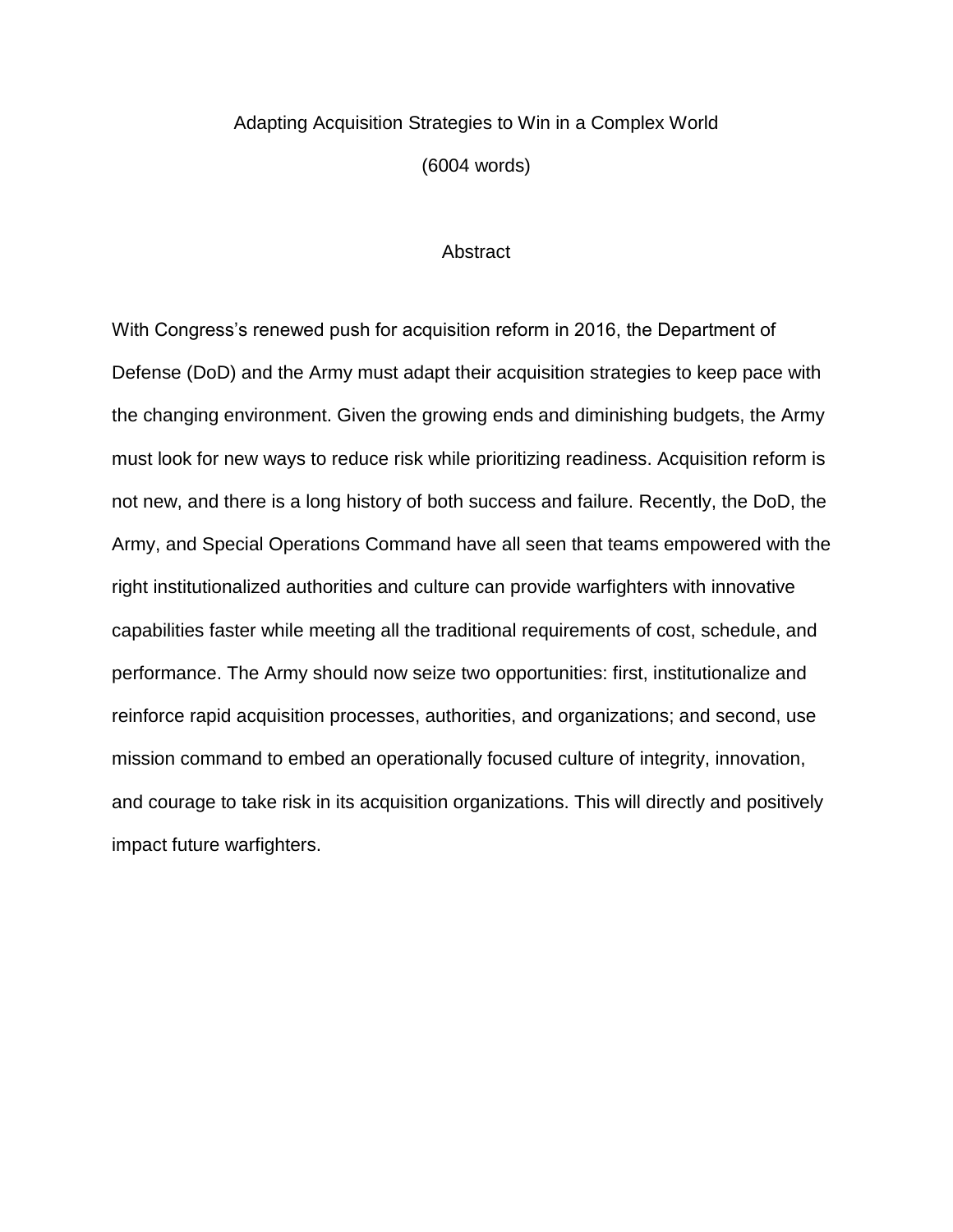## Adapting Acquisition Strategies to Win in a Complex World (6004 words)

### **Abstract**

With Congress's renewed push for acquisition reform in 2016, the Department of Defense (DoD) and the Army must adapt their acquisition strategies to keep pace with the changing environment. Given the growing ends and diminishing budgets, the Army must look for new ways to reduce risk while prioritizing readiness. Acquisition reform is not new, and there is a long history of both success and failure. Recently, the DoD, the Army, and Special Operations Command have all seen that teams empowered with the right institutionalized authorities and culture can provide warfighters with innovative capabilities faster while meeting all the traditional requirements of cost, schedule, and performance. The Army should now seize two opportunities: first, institutionalize and reinforce rapid acquisition processes, authorities, and organizations; and second, use mission command to embed an operationally focused culture of integrity, innovation, and courage to take risk in its acquisition organizations. This will directly and positively impact future warfighters.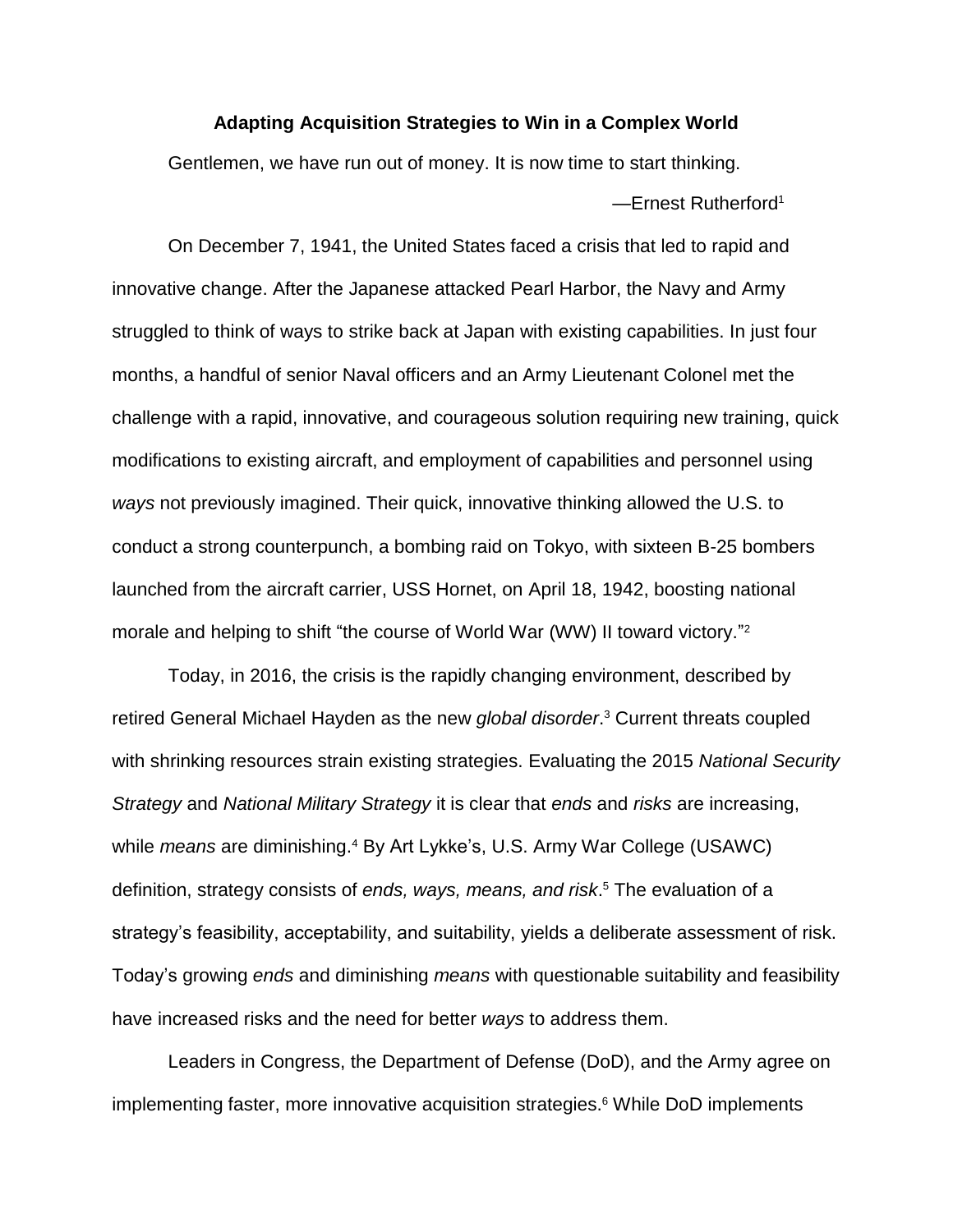### **Adapting Acquisition Strategies to Win in a Complex World**

Gentlemen, we have run out of money. It is now time to start thinking. —Ernest Rutherford<sup>1</sup>

On December 7, 1941, the United States faced a crisis that led to rapid and innovative change. After the Japanese attacked Pearl Harbor, the Navy and Army struggled to think of ways to strike back at Japan with existing capabilities. In just four months, a handful of senior Naval officers and an Army Lieutenant Colonel met the challenge with a rapid, innovative, and courageous solution requiring new training, quick modifications to existing aircraft, and employment of capabilities and personnel using *ways* not previously imagined. Their quick, innovative thinking allowed the U.S. to conduct a strong counterpunch, a bombing raid on Tokyo, with sixteen B-25 bombers launched from the aircraft carrier, USS Hornet, on April 18, 1942, boosting national morale and helping to shift "the course of World War (WW) II toward victory."<sup>2</sup>

Today, in 2016, the crisis is the rapidly changing environment, described by retired General Michael Hayden as the new *global disorder*. <sup>3</sup> Current threats coupled with shrinking resources strain existing strategies. Evaluating the 2015 *National Security Strategy* and *National Military Strategy* it is clear that *ends* and *risks* are increasing, while *means* are diminishing.<sup>4</sup> By Art Lykke's, U.S. Army War College (USAWC) definition, strategy consists of *ends, ways, means, and risk*. <sup>5</sup> The evaluation of a strategy's feasibility, acceptability, and suitability, yields a deliberate assessment of risk. Today's growing *ends* and diminishing *means* with questionable suitability and feasibility have increased risks and the need for better *ways* to address them.

Leaders in Congress, the Department of Defense (DoD), and the Army agree on implementing faster, more innovative acquisition strategies. <sup>6</sup> While DoD implements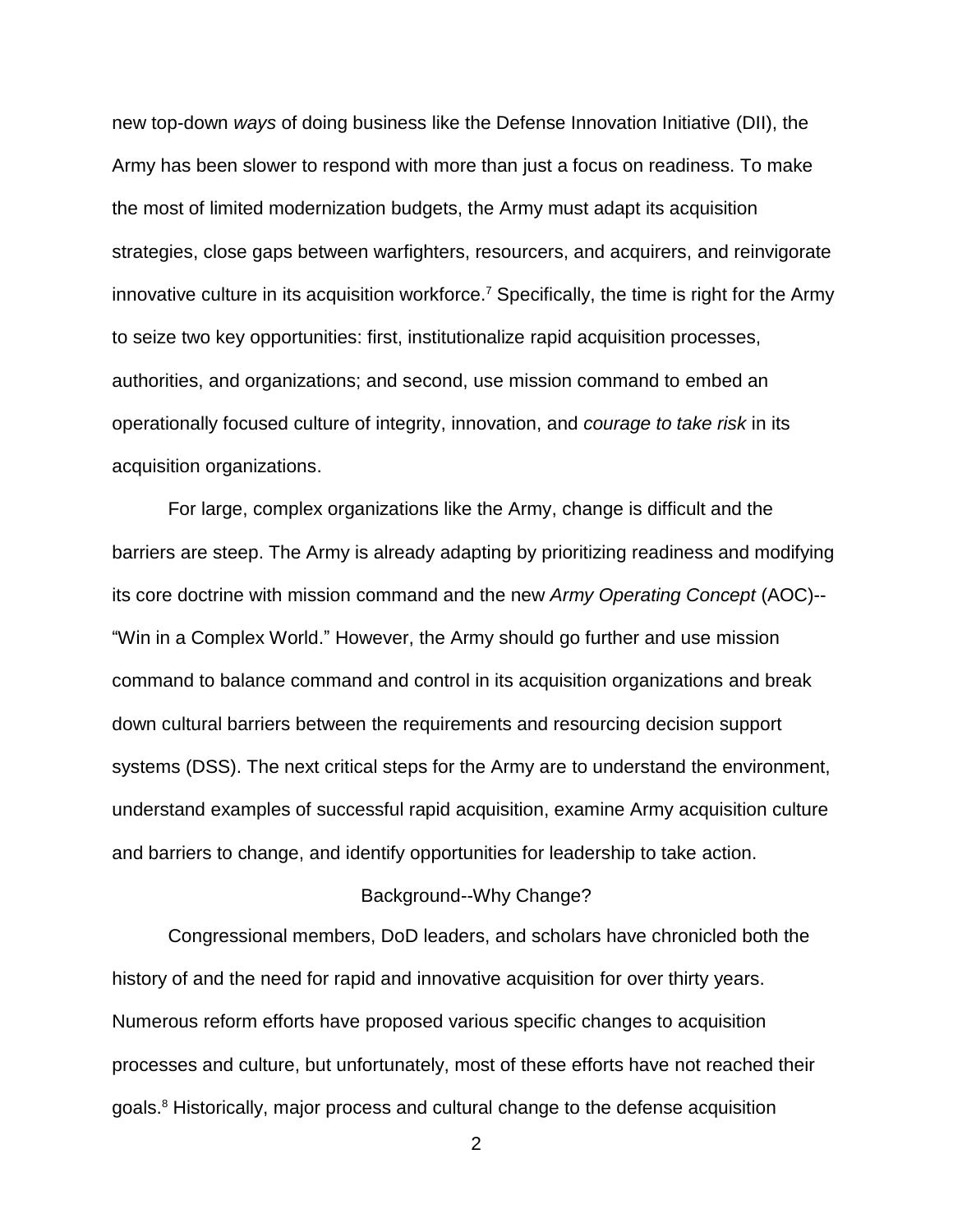new top-down *ways* of doing business like the Defense Innovation Initiative (DII), the Army has been slower to respond with more than just a focus on readiness. To make the most of limited modernization budgets, the Army must adapt its acquisition strategies, close gaps between warfighters, resourcers, and acquirers, and reinvigorate innovative culture in its acquisition workforce.<sup>7</sup> Specifically, the time is right for the Army to seize two key opportunities: first, institutionalize rapid acquisition processes, authorities, and organizations; and second, use mission command to embed an operationally focused culture of integrity, innovation, and *courage to take risk* in its acquisition organizations.

For large, complex organizations like the Army, change is difficult and the barriers are steep. The Army is already adapting by prioritizing readiness and modifying its core doctrine with mission command and the new *Army Operating Concept* (AOC)-- "Win in a Complex World." However, the Army should go further and use mission command to balance command and control in its acquisition organizations and break down cultural barriers between the requirements and resourcing decision support systems (DSS). The next critical steps for the Army are to understand the environment, understand examples of successful rapid acquisition, examine Army acquisition culture and barriers to change, and identify opportunities for leadership to take action.

### Background--Why Change?

Congressional members, DoD leaders, and scholars have chronicled both the history of and the need for rapid and innovative acquisition for over thirty years. Numerous reform efforts have proposed various specific changes to acquisition processes and culture, but unfortunately, most of these efforts have not reached their goals.<sup>8</sup> Historically, major process and cultural change to the defense acquisition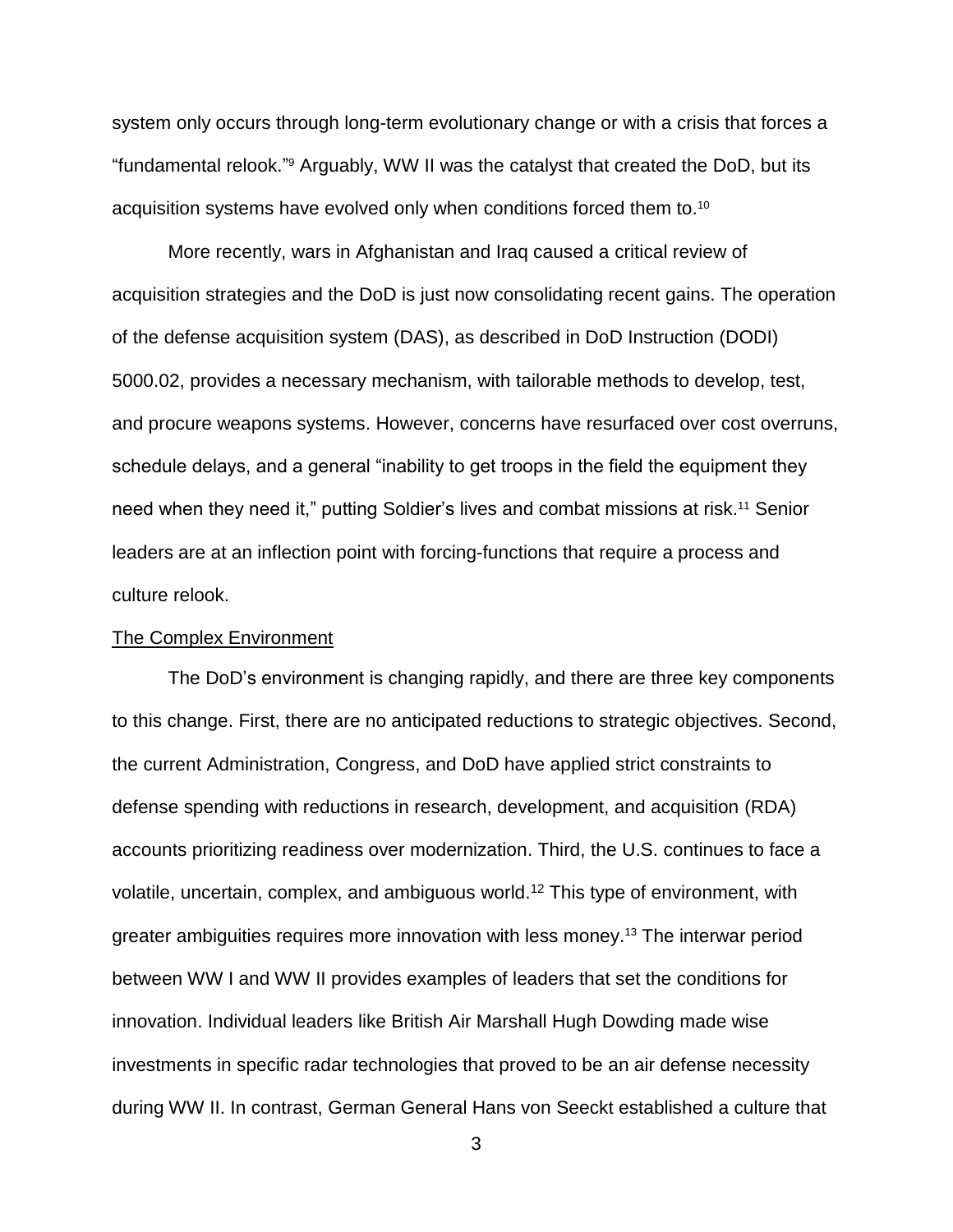system only occurs through long-term evolutionary change or with a crisis that forces a "fundamental relook." <sup>9</sup> Arguably, WW II was the catalyst that created the DoD, but its acquisition systems have evolved only when conditions forced them to.<sup>10</sup>

More recently, wars in Afghanistan and Iraq caused a critical review of acquisition strategies and the DoD is just now consolidating recent gains. The operation of the defense acquisition system (DAS), as described in DoD Instruction (DODI) 5000.02, provides a necessary mechanism, with tailorable methods to develop, test, and procure weapons systems. However, concerns have resurfaced over cost overruns, schedule delays, and a general "inability to get troops in the field the equipment they need when they need it," putting Soldier's lives and combat missions at risk.<sup>11</sup> Senior leaders are at an inflection point with forcing-functions that require a process and culture relook.

### The Complex Environment

The DoD's environment is changing rapidly, and there are three key components to this change. First, there are no anticipated reductions to strategic objectives. Second, the current Administration, Congress, and DoD have applied strict constraints to defense spending with reductions in research, development, and acquisition (RDA) accounts prioritizing readiness over modernization. Third, the U.S. continues to face a volatile, uncertain, complex, and ambiguous world.<sup>12</sup> This type of environment, with greater ambiguities requires more innovation with less money. <sup>13</sup> The interwar period between WW I and WW II provides examples of leaders that set the conditions for innovation. Individual leaders like British Air Marshall Hugh Dowding made wise investments in specific radar technologies that proved to be an air defense necessity during WW II. In contrast, German General Hans von Seeckt established a culture that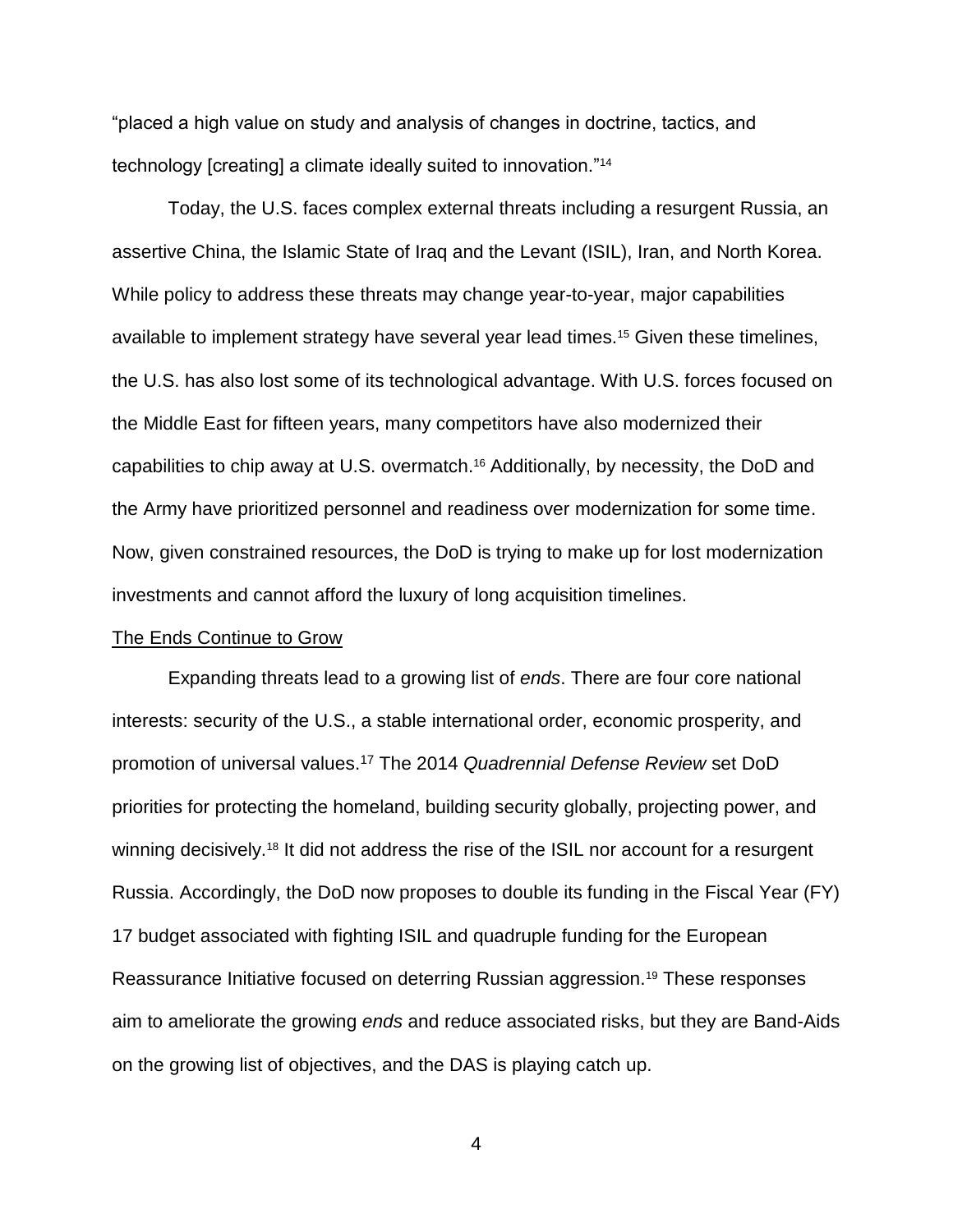"placed a high value on study and analysis of changes in doctrine, tactics, and technology [creating] a climate ideally suited to innovation."<sup>14</sup>

Today, the U.S. faces complex external threats including a resurgent Russia, an assertive China, the Islamic State of Iraq and the Levant (ISIL), Iran, and North Korea. While policy to address these threats may change year-to-year, major capabilities available to implement strategy have several year lead times.<sup>15</sup> Given these timelines, the U.S. has also lost some of its technological advantage. With U.S. forces focused on the Middle East for fifteen years, many competitors have also modernized their capabilities to chip away at U.S. overmatch.<sup>16</sup> Additionally, by necessity, the DoD and the Army have prioritized personnel and readiness over modernization for some time. Now, given constrained resources, the DoD is trying to make up for lost modernization investments and cannot afford the luxury of long acquisition timelines.

### The Ends Continue to Grow

Expanding threats lead to a growing list of *ends*. There are four core national interests: security of the U.S., a stable international order, economic prosperity, and promotion of universal values. <sup>17</sup> The 2014 *Quadrennial Defense Review* set DoD priorities for protecting the homeland, building security globally, projecting power, and winning decisively.<sup>18</sup> It did not address the rise of the ISIL nor account for a resurgent Russia. Accordingly, the DoD now proposes to double its funding in the Fiscal Year (FY) 17 budget associated with fighting ISIL and quadruple funding for the European Reassurance Initiative focused on deterring Russian aggression.<sup>19</sup> These responses aim to ameliorate the growing *ends* and reduce associated risks, but they are Band-Aids on the growing list of objectives, and the DAS is playing catch up.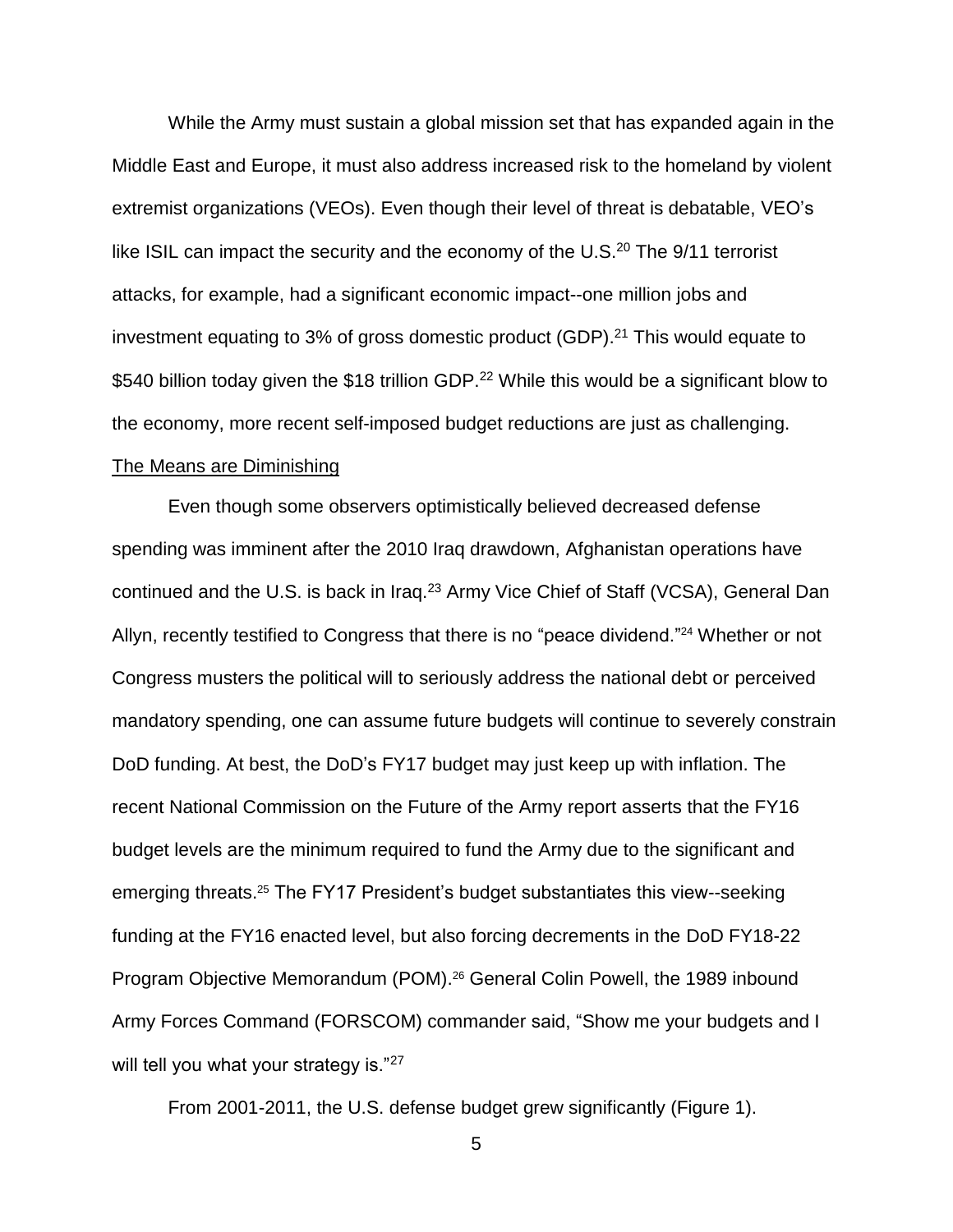While the Army must sustain a global mission set that has expanded again in the Middle East and Europe, it must also address increased risk to the homeland by violent extremist organizations (VEOs). Even though their level of threat is debatable, VEO's like ISIL can impact the security and the economy of the U.S.<sup>20</sup> The 9/11 terrorist attacks, for example, had a significant economic impact--one million jobs and investment equating to 3% of gross domestic product (GDP).<sup>21</sup> This would equate to \$540 billion today given the \$18 trillion GDP.<sup>22</sup> While this would be a significant blow to the economy, more recent self-imposed budget reductions are just as challenging.

### The Means are Diminishing

Even though some observers optimistically believed decreased defense spending was imminent after the 2010 Iraq drawdown, Afghanistan operations have continued and the U.S. is back in Iraq.<sup>23</sup> Army Vice Chief of Staff (VCSA), General Dan Allyn, recently testified to Congress that there is no "peace dividend."<sup>24</sup> Whether or not Congress musters the political will to seriously address the national debt or perceived mandatory spending, one can assume future budgets will continue to severely constrain DoD funding. At best, the DoD's FY17 budget may just keep up with inflation. The recent National Commission on the Future of the Army report asserts that the FY16 budget levels are the minimum required to fund the Army due to the significant and emerging threats.<sup>25</sup> The FY17 President's budget substantiates this view--seeking funding at the FY16 enacted level, but also forcing decrements in the DoD FY18-22 Program Objective Memorandum (POM). <sup>26</sup> General Colin Powell, the 1989 inbound Army Forces Command (FORSCOM) commander said, "Show me your budgets and I will tell you what your strategy is."27

From 2001-2011, the U.S. defense budget grew significantly (Figure 1).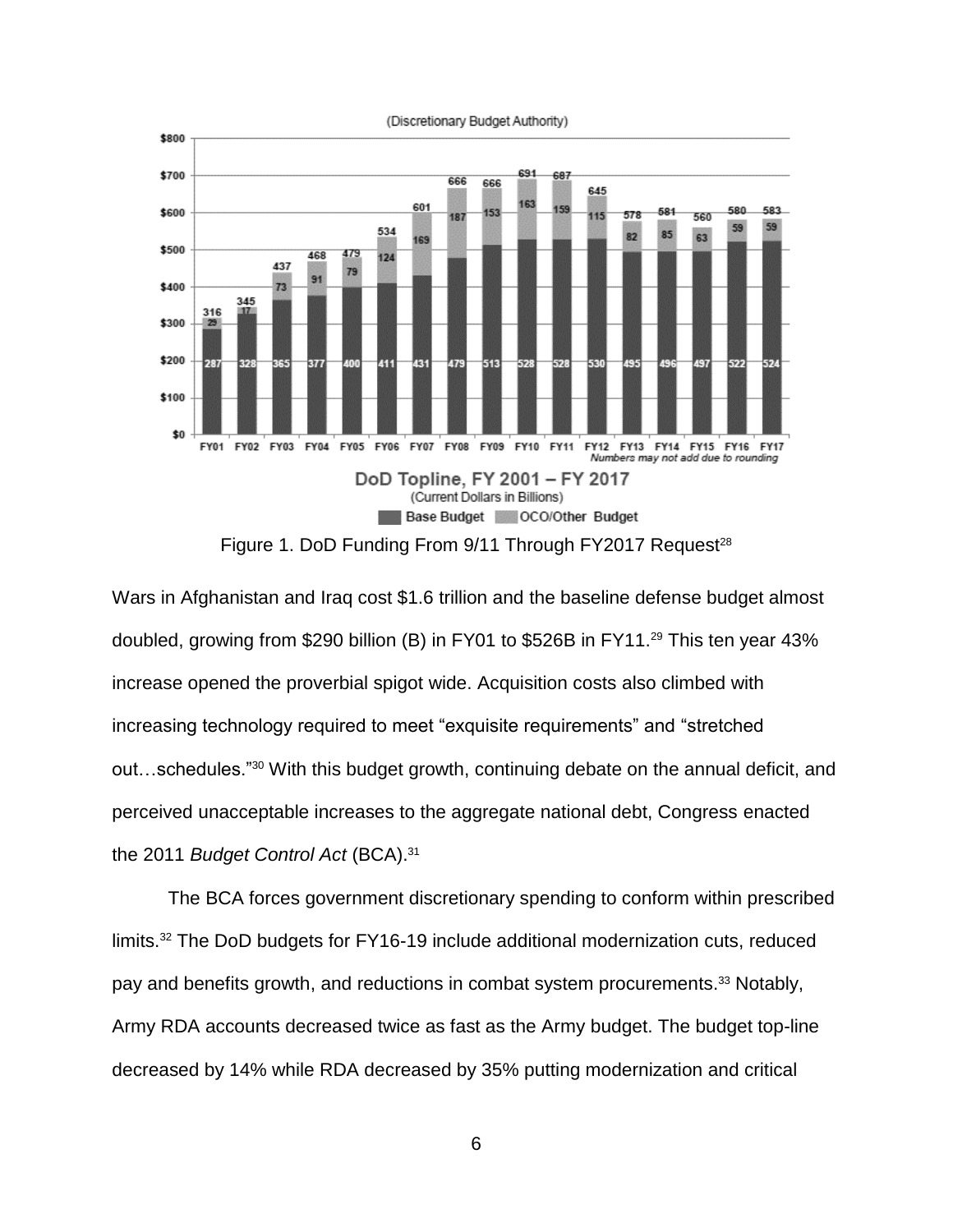

Figure 1. DoD Funding From 9/11 Through FY2017 Request<sup>28</sup>

Wars in Afghanistan and Iraq cost \$1.6 trillion and the baseline defense budget almost doubled, growing from \$290 billion (B) in FY01 to \$526B in FY11.<sup>29</sup> This ten year 43% increase opened the proverbial spigot wide. Acquisition costs also climbed with increasing technology required to meet "exquisite requirements" and "stretched out…schedules."<sup>30</sup> With this budget growth, continuing debate on the annual deficit, and perceived unacceptable increases to the aggregate national debt, Congress enacted the 2011 *Budget Control Act* (BCA). 31

The BCA forces government discretionary spending to conform within prescribed limits. <sup>32</sup> The DoD budgets for FY16-19 include additional modernization cuts, reduced pay and benefits growth, and reductions in combat system procurements.<sup>33</sup> Notably, Army RDA accounts decreased twice as fast as the Army budget. The budget top-line decreased by 14% while RDA decreased by 35% putting modernization and critical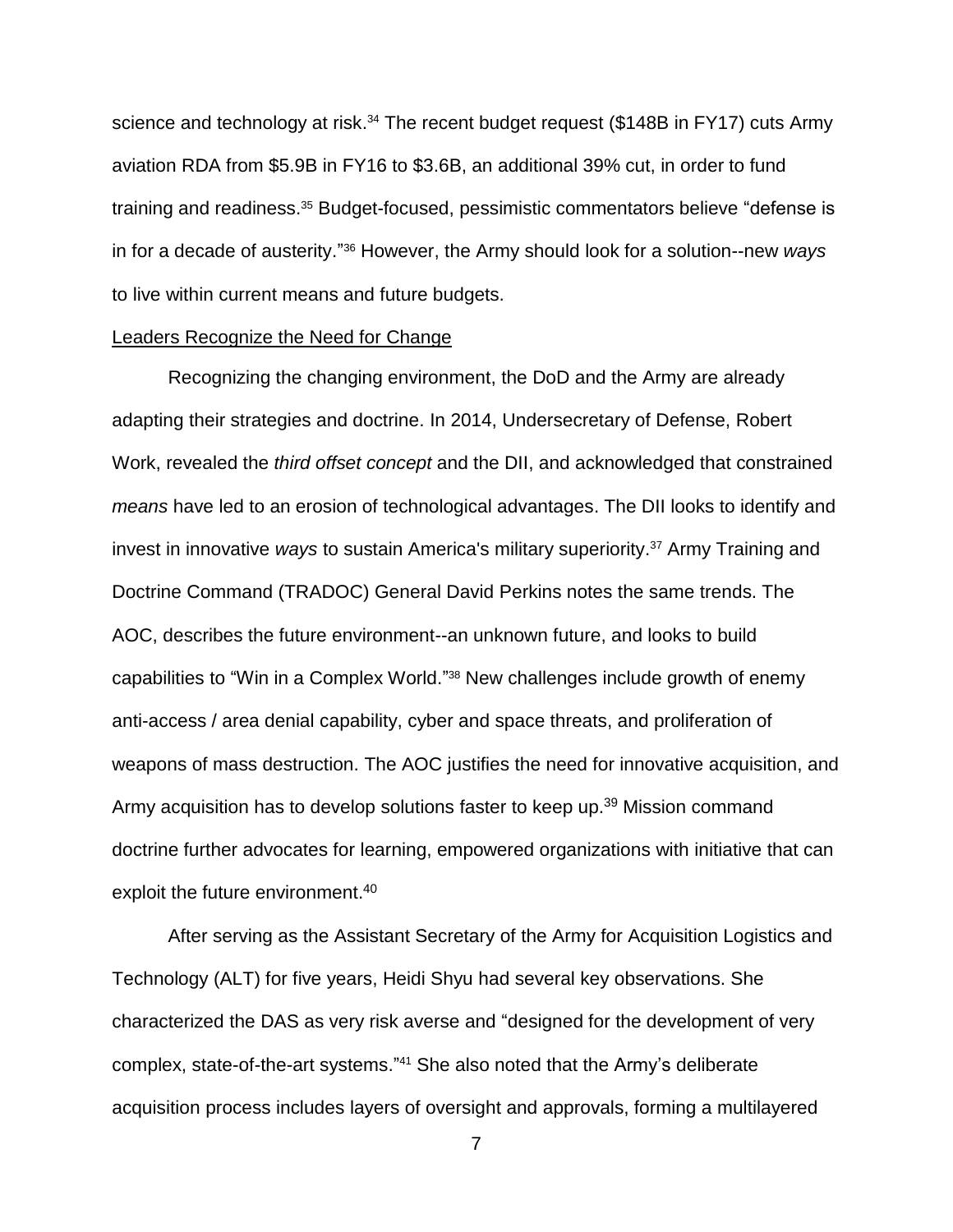science and technology at risk.<sup>34</sup> The recent budget request (\$148B in FY17) cuts Army aviation RDA from \$5.9B in FY16 to \$3.6B, an additional 39% cut, in order to fund training and readiness.<sup>35</sup> Budget-focused, pessimistic commentators believe "defense is in for a decade of austerity."<sup>36</sup> However, the Army should look for a solution--new ways to live within current means and future budgets.

### Leaders Recognize the Need for Change

Recognizing the changing environment, the DoD and the Army are already adapting their strategies and doctrine. In 2014, Undersecretary of Defense, Robert Work, revealed the *third offset concept* and the DII, and acknowledged that constrained *means* have led to an erosion of technological advantages. The DII looks to identify and invest in innovative *ways* to sustain America's military superiority. <sup>37</sup> Army Training and Doctrine Command (TRADOC) General David Perkins notes the same trends. The AOC, describes the future environment--an unknown future, and looks to build capabilities to "Win in a Complex World." <sup>38</sup> New challenges include growth of enemy anti-access / area denial capability, cyber and space threats, and proliferation of weapons of mass destruction. The AOC justifies the need for innovative acquisition, and Army acquisition has to develop solutions faster to keep up.<sup>39</sup> Mission command doctrine further advocates for learning, empowered organizations with initiative that can exploit the future environment.<sup>40</sup>

After serving as the Assistant Secretary of the Army for Acquisition Logistics and Technology (ALT) for five years, Heidi Shyu had several key observations. She characterized the DAS as very risk averse and "designed for the development of very complex, state-of-the-art systems." <sup>41</sup> She also noted that the Army's deliberate acquisition process includes layers of oversight and approvals, forming a multilayered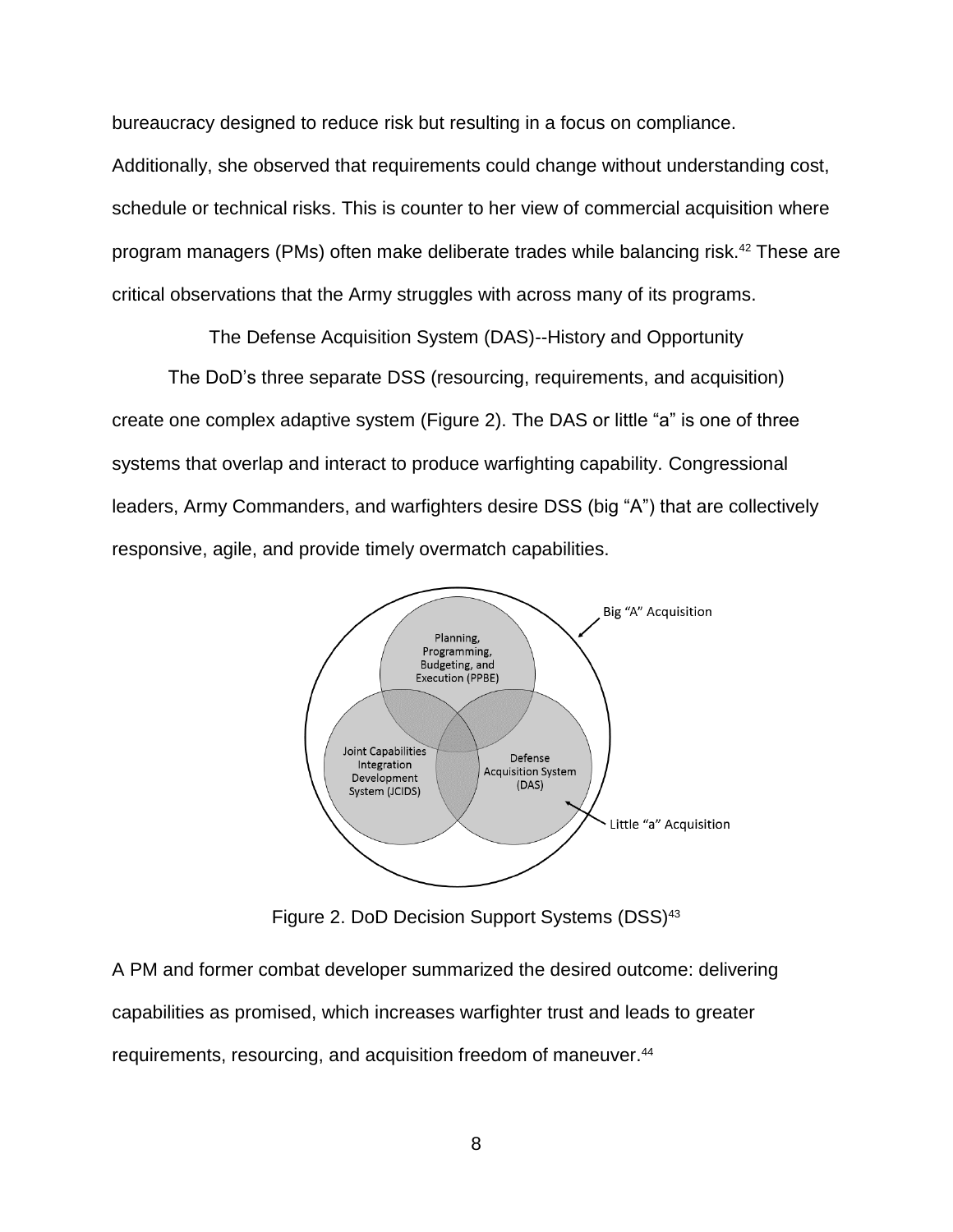bureaucracy designed to reduce risk but resulting in a focus on compliance.

Additionally, she observed that requirements could change without understanding cost, schedule or technical risks. This is counter to her view of commercial acquisition where program managers (PMs) often make deliberate trades while balancing risk.<sup>42</sup> These are critical observations that the Army struggles with across many of its programs.

The Defense Acquisition System (DAS)--History and Opportunity

The DoD's three separate DSS (resourcing, requirements, and acquisition) create one complex adaptive system (Figure 2). The DAS or little "a" is one of three systems that overlap and interact to produce warfighting capability. Congressional leaders, Army Commanders, and warfighters desire DSS (big "A") that are collectively responsive, agile, and provide timely overmatch capabilities.



Figure 2. DoD Decision Support Systems (DSS)<sup>43</sup>

A PM and former combat developer summarized the desired outcome: delivering capabilities as promised, which increases warfighter trust and leads to greater requirements, resourcing, and acquisition freedom of maneuver. 44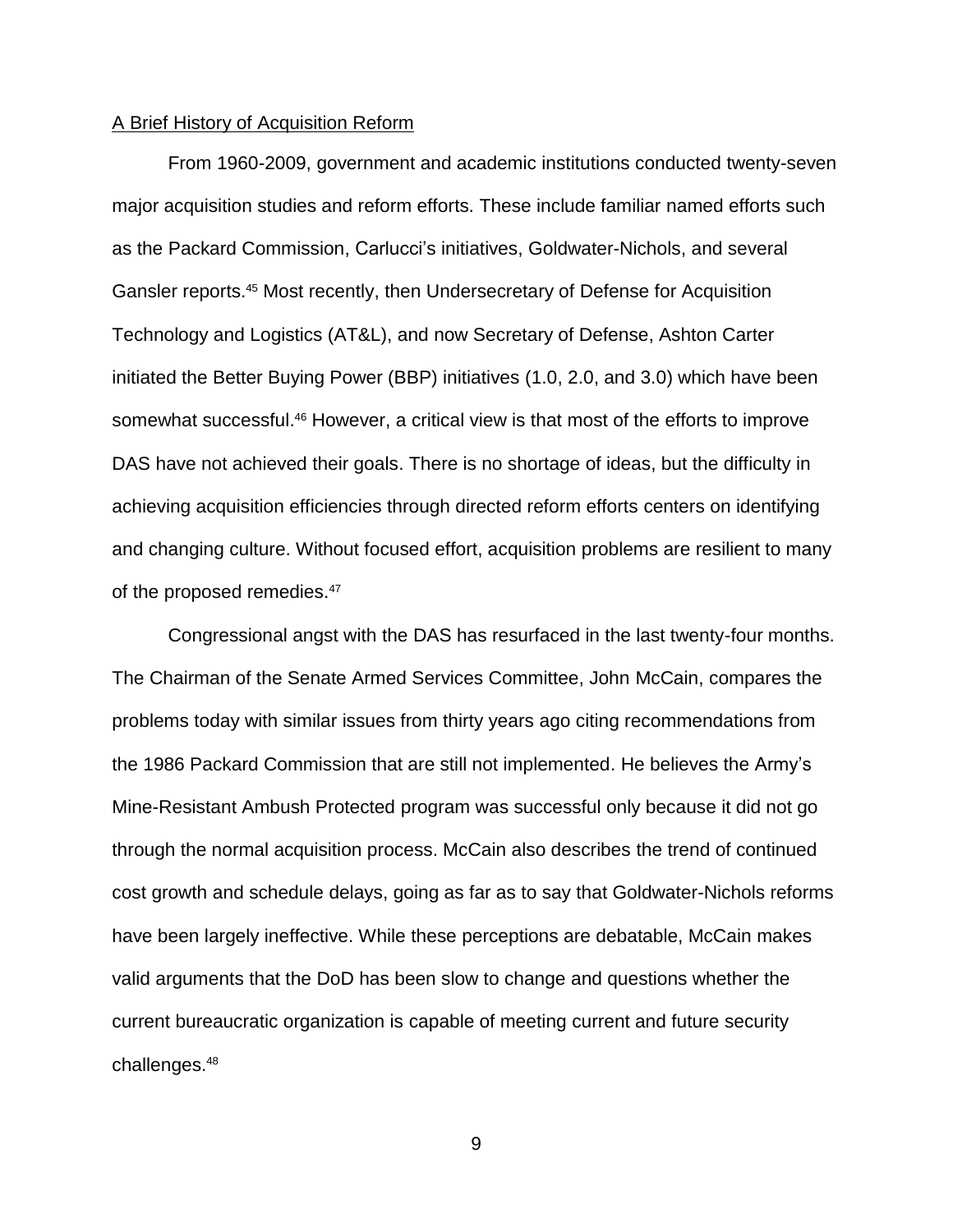### A Brief History of Acquisition Reform

From 1960-2009, government and academic institutions conducted twenty-seven major acquisition studies and reform efforts. These include familiar named efforts such as the Packard Commission, Carlucci's initiatives, Goldwater-Nichols, and several Gansler reports. <sup>45</sup> Most recently, then Undersecretary of Defense for Acquisition Technology and Logistics (AT&L), and now Secretary of Defense, Ashton Carter initiated the Better Buying Power (BBP) initiatives (1.0, 2.0, and 3.0) which have been somewhat successful.<sup>46</sup> However, a critical view is that most of the efforts to improve DAS have not achieved their goals. There is no shortage of ideas, but the difficulty in achieving acquisition efficiencies through directed reform efforts centers on identifying and changing culture. Without focused effort, acquisition problems are resilient to many of the proposed remedies.<sup>47</sup>

Congressional angst with the DAS has resurfaced in the last twenty-four months. The Chairman of the Senate Armed Services Committee, John McCain, compares the problems today with similar issues from thirty years ago citing recommendations from the 1986 Packard Commission that are still not implemented. He believes the Army's Mine-Resistant Ambush Protected program was successful only because it did not go through the normal acquisition process. McCain also describes the trend of continued cost growth and schedule delays, going as far as to say that Goldwater-Nichols reforms have been largely ineffective. While these perceptions are debatable, McCain makes valid arguments that the DoD has been slow to change and questions whether the current bureaucratic organization is capable of meeting current and future security challenges.48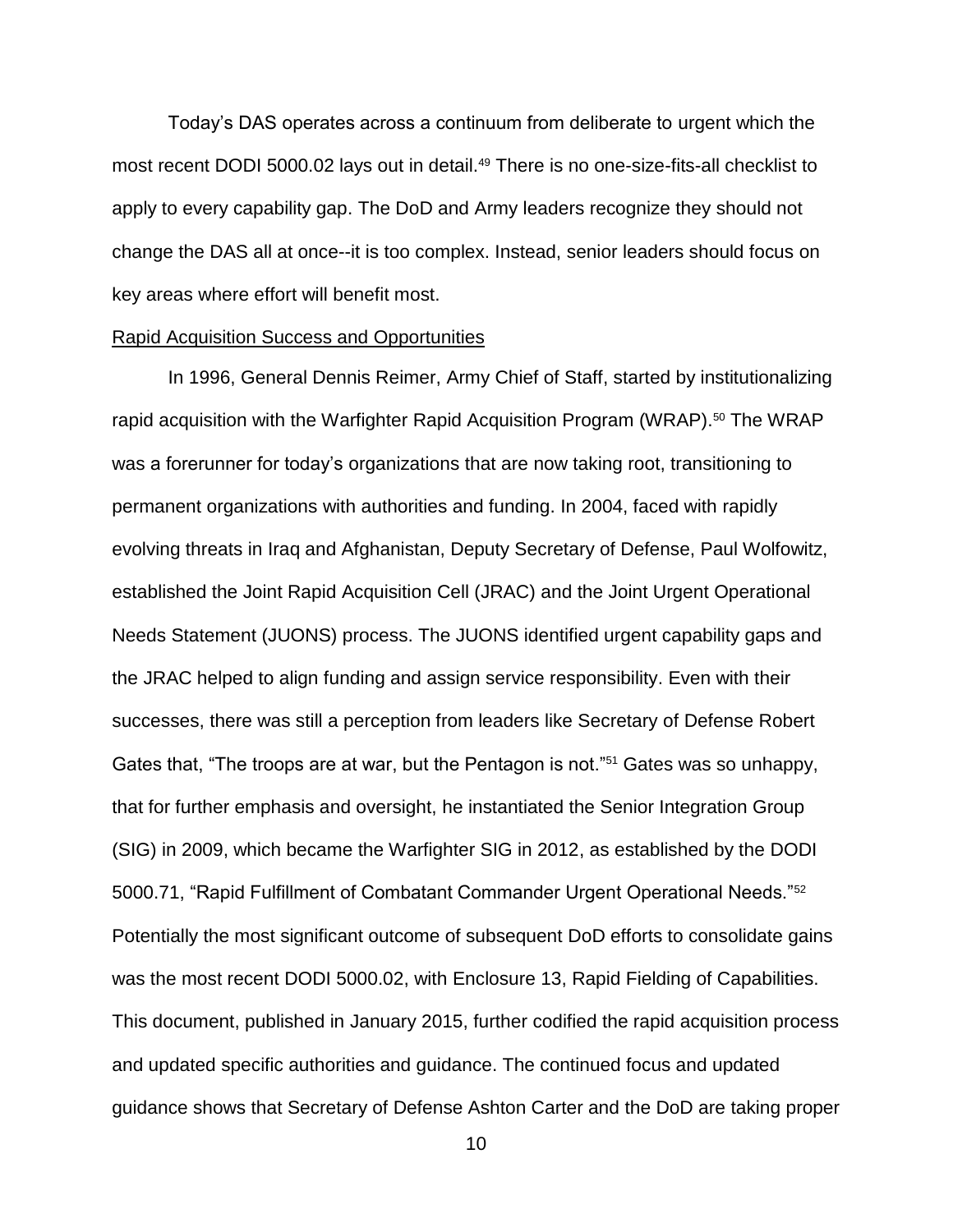Today's DAS operates across a continuum from deliberate to urgent which the most recent DODI 5000.02 lays out in detail.<sup>49</sup> There is no one-size-fits-all checklist to apply to every capability gap. The DoD and Army leaders recognize they should not change the DAS all at once--it is too complex. Instead, senior leaders should focus on key areas where effort will benefit most.

### Rapid Acquisition Success and Opportunities

In 1996, General Dennis Reimer, Army Chief of Staff, started by institutionalizing rapid acquisition with the Warfighter Rapid Acquisition Program (WRAP).<sup>50</sup> The WRAP was a forerunner for today's organizations that are now taking root, transitioning to permanent organizations with authorities and funding. In 2004, faced with rapidly evolving threats in Iraq and Afghanistan, Deputy Secretary of Defense, Paul Wolfowitz, established the Joint Rapid Acquisition Cell (JRAC) and the Joint Urgent Operational Needs Statement (JUONS) process. The JUONS identified urgent capability gaps and the JRAC helped to align funding and assign service responsibility. Even with their successes, there was still a perception from leaders like Secretary of Defense Robert Gates that, "The troops are at war, but the Pentagon is not."<sup>51</sup> Gates was so unhappy, that for further emphasis and oversight, he instantiated the Senior Integration Group (SIG) in 2009, which became the Warfighter SIG in 2012, as established by the DODI 5000.71, "Rapid Fulfillment of Combatant Commander Urgent Operational Needs."<sup>52</sup> Potentially the most significant outcome of subsequent DoD efforts to consolidate gains was the most recent DODI 5000.02, with Enclosure 13, Rapid Fielding of Capabilities. This document, published in January 2015, further codified the rapid acquisition process and updated specific authorities and guidance. The continued focus and updated guidance shows that Secretary of Defense Ashton Carter and the DoD are taking proper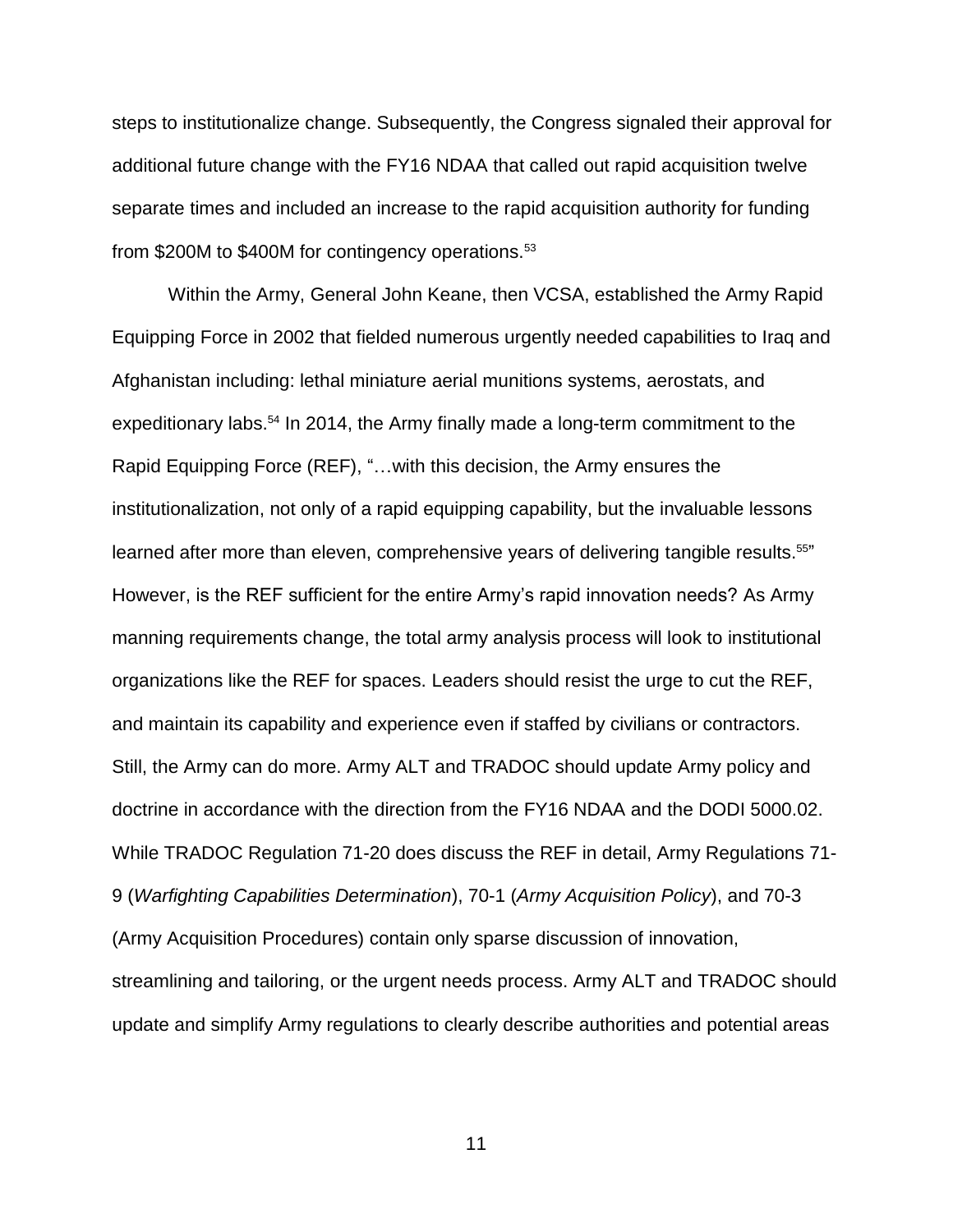steps to institutionalize change. Subsequently, the Congress signaled their approval for additional future change with the FY16 NDAA that called out rapid acquisition twelve separate times and included an increase to the rapid acquisition authority for funding from \$200M to \$400M for contingency operations.<sup>53</sup>

Within the Army, General John Keane, then VCSA, established the Army Rapid Equipping Force in 2002 that fielded numerous urgently needed capabilities to Iraq and Afghanistan including: lethal miniature aerial munitions systems, aerostats, and expeditionary labs.<sup>54</sup> In 2014, the Army finally made a long-term commitment to the Rapid Equipping Force (REF), "…with this decision, the Army ensures the institutionalization, not only of a rapid equipping capability, but the invaluable lessons learned after more than eleven, comprehensive years of delivering tangible results.<sup>55</sup>" However, is the REF sufficient for the entire Army's rapid innovation needs? As Army manning requirements change, the total army analysis process will look to institutional organizations like the REF for spaces. Leaders should resist the urge to cut the REF, and maintain its capability and experience even if staffed by civilians or contractors. Still, the Army can do more. Army ALT and TRADOC should update Army policy and doctrine in accordance with the direction from the FY16 NDAA and the DODI 5000.02. While TRADOC Regulation 71-20 does discuss the REF in detail, Army Regulations 71- 9 (*Warfighting Capabilities Determination*), 70-1 (*Army Acquisition Policy*), and 70-3 (Army Acquisition Procedures) contain only sparse discussion of innovation, streamlining and tailoring, or the urgent needs process. Army ALT and TRADOC should update and simplify Army regulations to clearly describe authorities and potential areas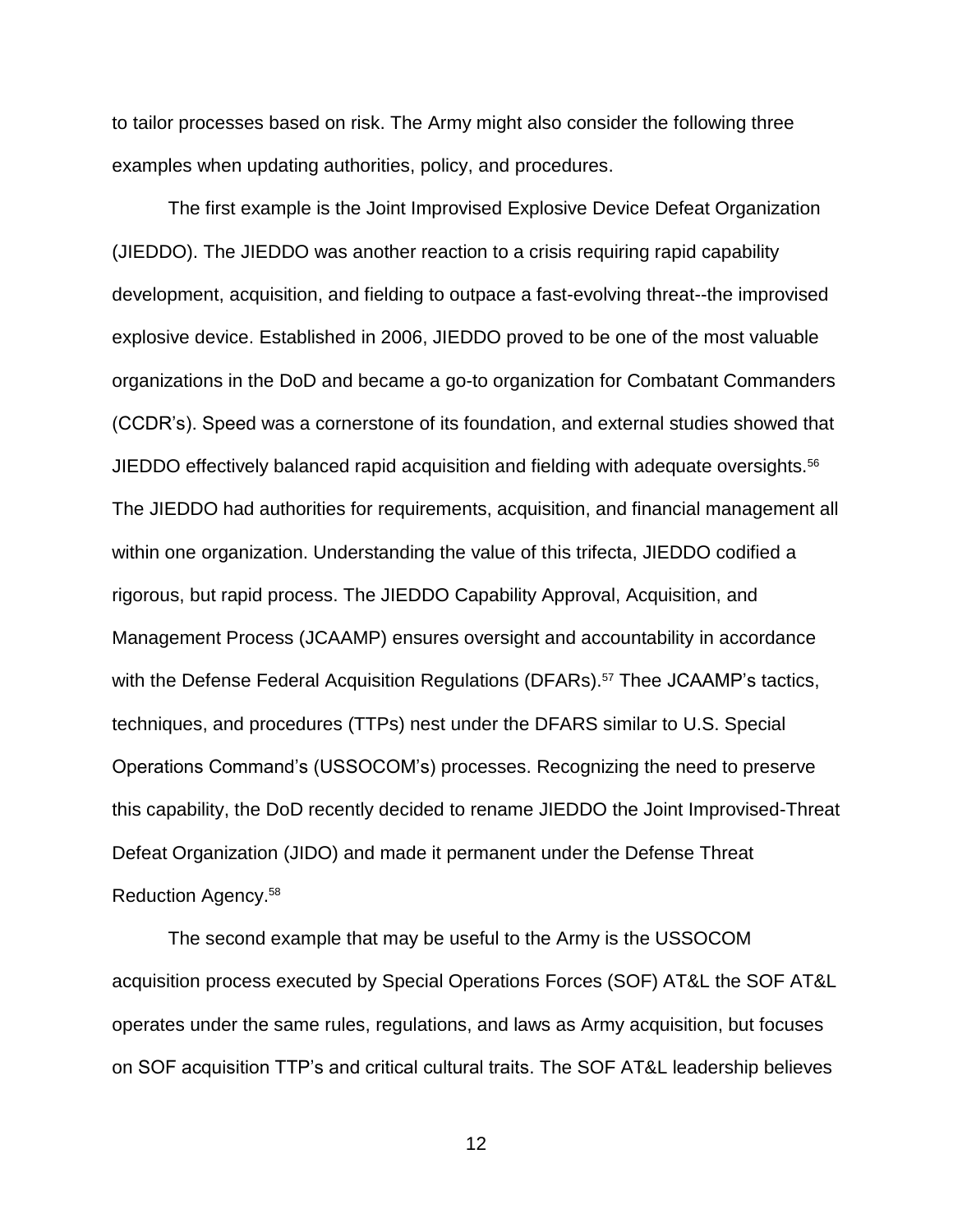to tailor processes based on risk. The Army might also consider the following three examples when updating authorities, policy, and procedures.

The first example is the Joint Improvised Explosive Device Defeat Organization (JIEDDO). The JIEDDO was another reaction to a crisis requiring rapid capability development, acquisition, and fielding to outpace a fast-evolving threat--the improvised explosive device. Established in 2006, JIEDDO proved to be one of the most valuable organizations in the DoD and became a go-to organization for Combatant Commanders (CCDR's). Speed was a cornerstone of its foundation, and external studies showed that JIEDDO effectively balanced rapid acquisition and fielding with adequate oversights.<sup>56</sup> The JIEDDO had authorities for requirements, acquisition, and financial management all within one organization. Understanding the value of this trifecta, JIEDDO codified a rigorous, but rapid process. The JIEDDO Capability Approval, Acquisition, and Management Process (JCAAMP) ensures oversight and accountability in accordance with the Defense Federal Acquisition Regulations (DFARs). <sup>57</sup> Thee JCAAMP's tactics, techniques, and procedures (TTPs) nest under the DFARS similar to U.S. Special Operations Command's (USSOCOM's) processes. Recognizing the need to preserve this capability, the DoD recently decided to rename JIEDDO the Joint Improvised-Threat Defeat Organization (JIDO) and made it permanent under the Defense Threat Reduction Agency. 58

The second example that may be useful to the Army is the USSOCOM acquisition process executed by Special Operations Forces (SOF) AT&L the SOF AT&L operates under the same rules, regulations, and laws as Army acquisition, but focuses on SOF acquisition TTP's and critical cultural traits. The SOF AT&L leadership believes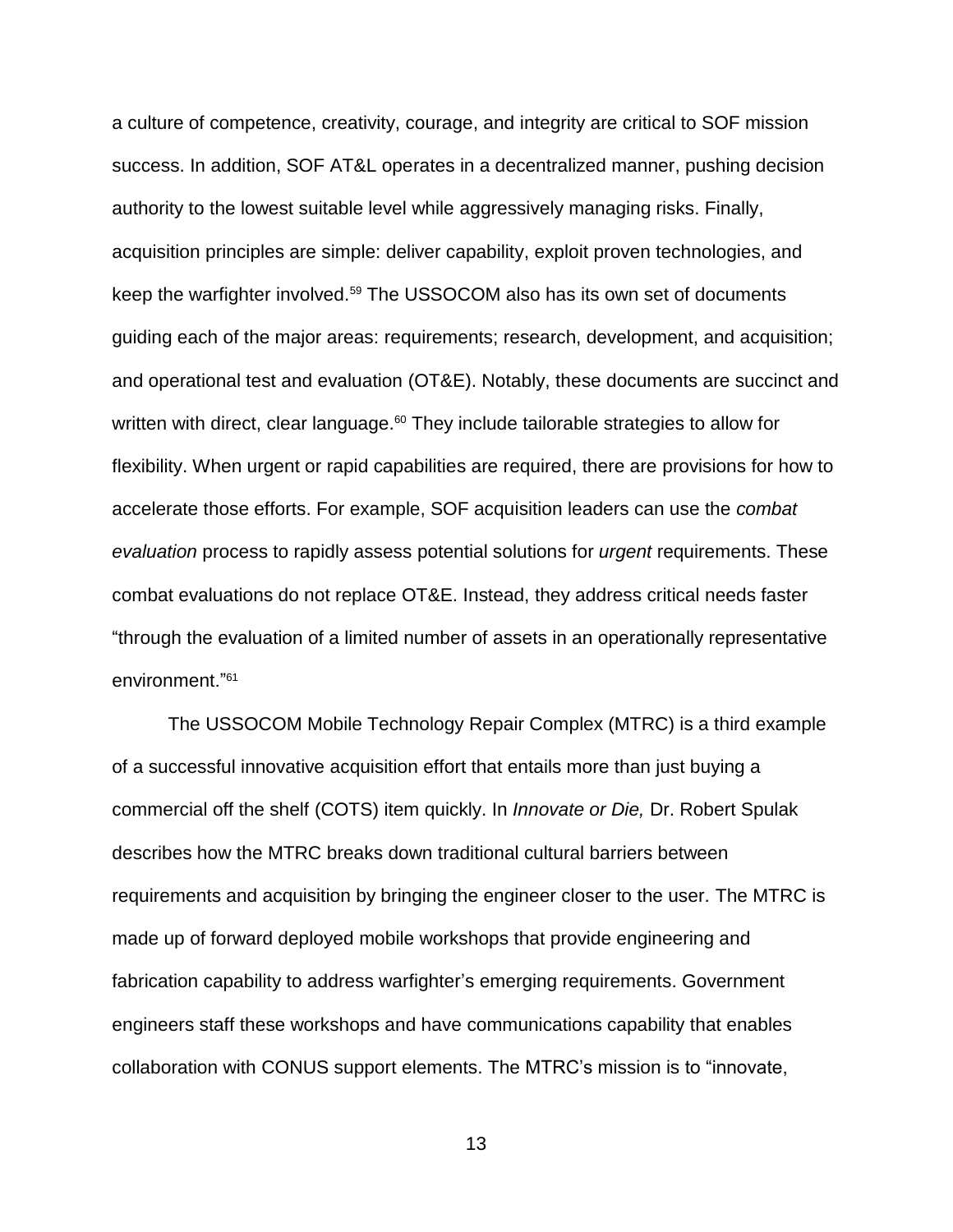a culture of competence, creativity, courage, and integrity are critical to SOF mission success. In addition, SOF AT&L operates in a decentralized manner, pushing decision authority to the lowest suitable level while aggressively managing risks. Finally, acquisition principles are simple: deliver capability, exploit proven technologies, and keep the warfighter involved.<sup>59</sup> The USSOCOM also has its own set of documents guiding each of the major areas: requirements; research, development, and acquisition; and operational test and evaluation (OT&E). Notably, these documents are succinct and written with direct, clear language. $60$  They include tailorable strategies to allow for flexibility. When urgent or rapid capabilities are required, there are provisions for how to accelerate those efforts. For example, SOF acquisition leaders can use the *combat evaluation* process to rapidly assess potential solutions for *urgent* requirements. These combat evaluations do not replace OT&E. Instead, they address critical needs faster "through the evaluation of a limited number of assets in an operationally representative environment."<sup>61</sup>

The USSOCOM Mobile Technology Repair Complex (MTRC) is a third example of a successful innovative acquisition effort that entails more than just buying a commercial off the shelf (COTS) item quickly. In *Innovate or Die,* Dr. Robert Spulak describes how the MTRC breaks down traditional cultural barriers between requirements and acquisition by bringing the engineer closer to the user. The MTRC is made up of forward deployed mobile workshops that provide engineering and fabrication capability to address warfighter's emerging requirements. Government engineers staff these workshops and have communications capability that enables collaboration with CONUS support elements. The MTRC's mission is to "innovate,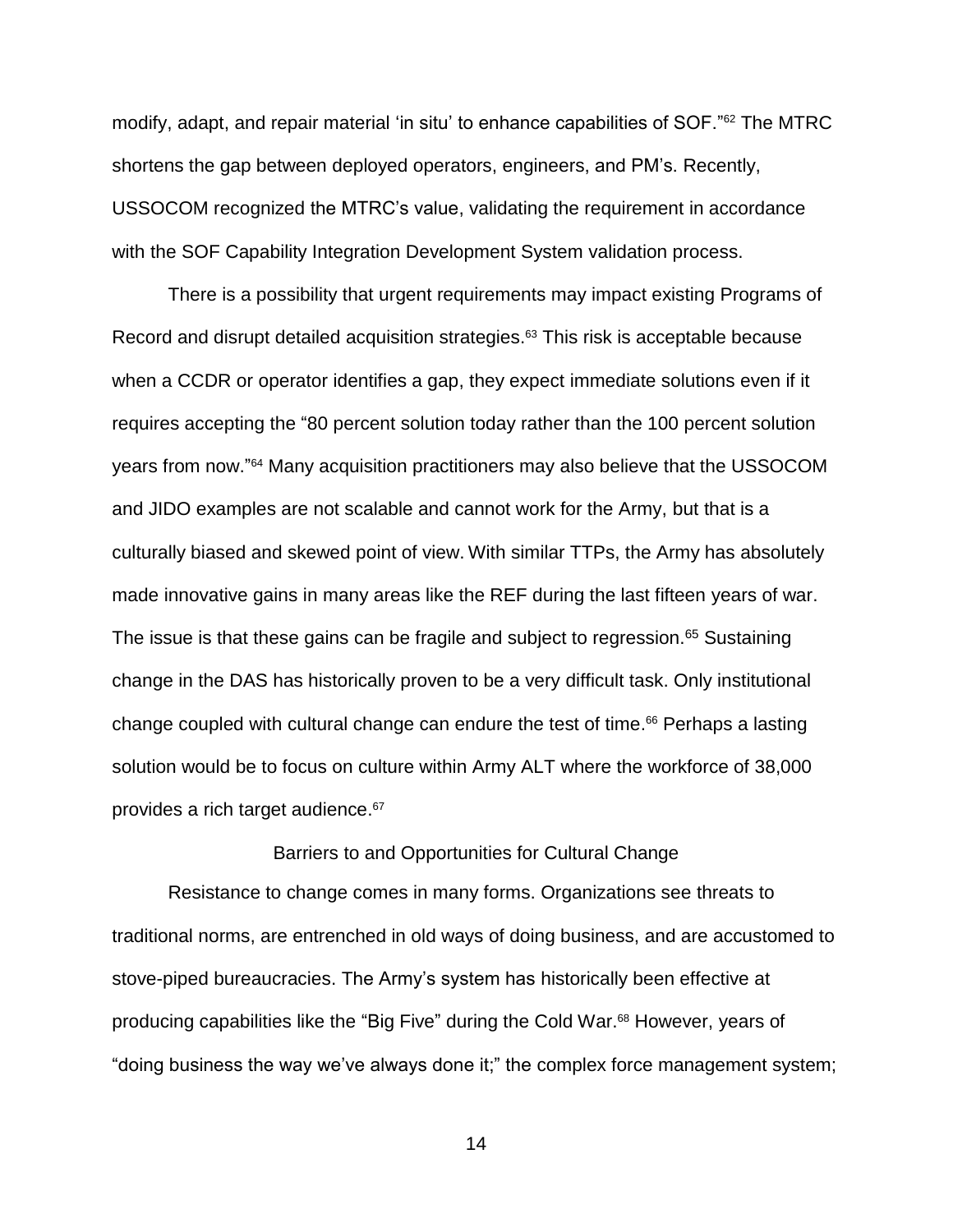modify, adapt, and repair material 'in situ' to enhance capabilities of SOF."<sup>62</sup> The MTRC shortens the gap between deployed operators, engineers, and PM's. Recently, USSOCOM recognized the MTRC's value, validating the requirement in accordance with the SOF Capability Integration Development System validation process.

There is a possibility that urgent requirements may impact existing Programs of Record and disrupt detailed acquisition strategies. <sup>63</sup> This risk is acceptable because when a CCDR or operator identifies a gap, they expect immediate solutions even if it requires accepting the "80 percent solution today rather than the 100 percent solution years from now." <sup>64</sup> Many acquisition practitioners may also believe that the USSOCOM and JIDO examples are not scalable and cannot work for the Army, but that is a culturally biased and skewed point of view. With similar TTPs, the Army has absolutely made innovative gains in many areas like the REF during the last fifteen years of war. The issue is that these gains can be fragile and subject to regression.<sup>65</sup> Sustaining change in the DAS has historically proven to be a very difficult task. Only institutional change coupled with cultural change can endure the test of time. <sup>66</sup> Perhaps a lasting solution would be to focus on culture within Army ALT where the workforce of 38,000 provides a rich target audience. 67

### Barriers to and Opportunities for Cultural Change

Resistance to change comes in many forms. Organizations see threats to traditional norms, are entrenched in old ways of doing business, and are accustomed to stove-piped bureaucracies. The Army's system has historically been effective at producing capabilities like the "Big Five" during the Cold War.<sup>68</sup> However, years of "doing business the way we've always done it;" the complex force management system;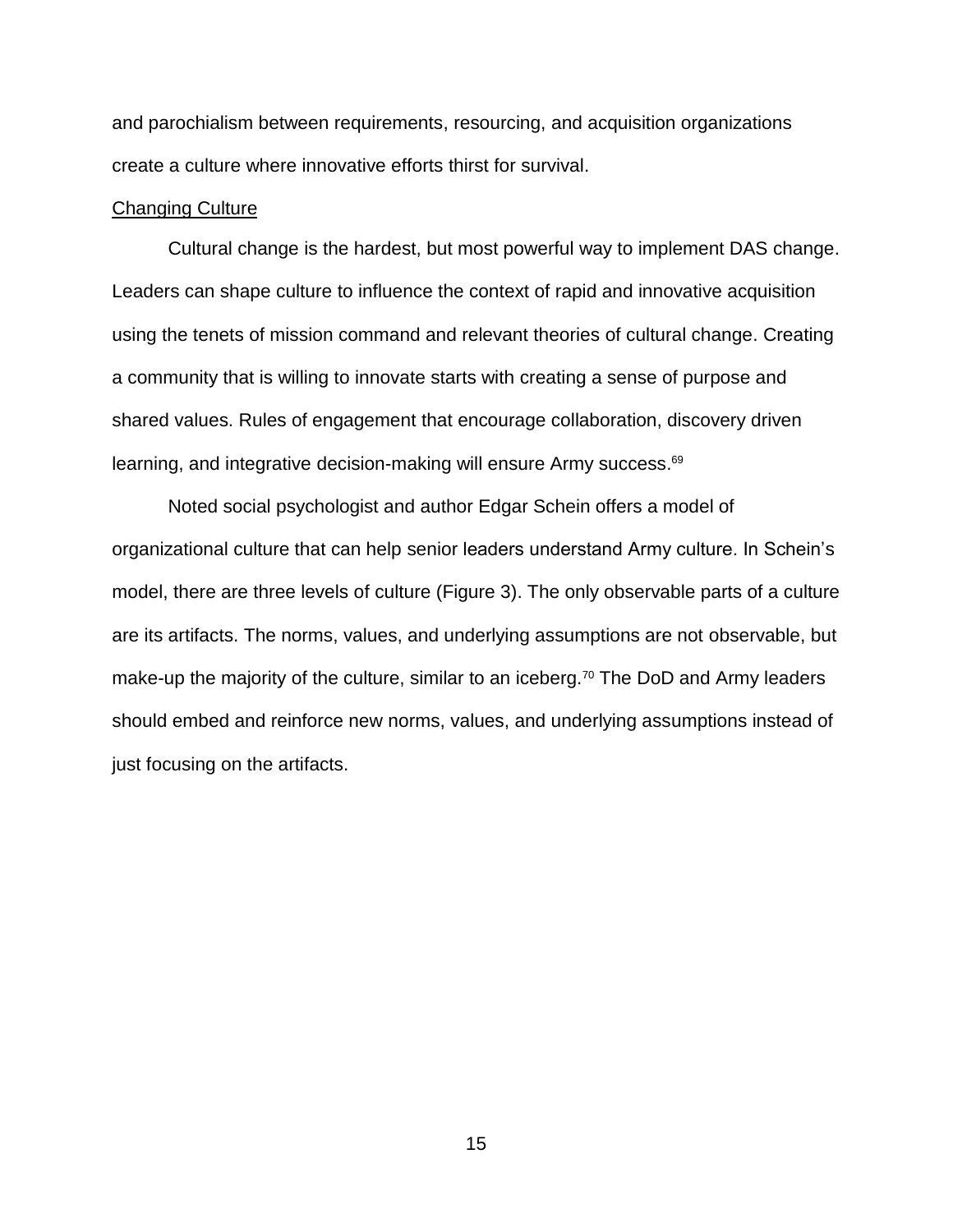and parochialism between requirements, resourcing, and acquisition organizations create a culture where innovative efforts thirst for survival.

### Changing Culture

Cultural change is the hardest, but most powerful way to implement DAS change. Leaders can shape culture to influence the context of rapid and innovative acquisition using the tenets of mission command and relevant theories of cultural change. Creating a community that is willing to innovate starts with creating a sense of purpose and shared values. Rules of engagement that encourage collaboration, discovery driven learning, and integrative decision-making will ensure Army success.<sup>69</sup>

Noted social psychologist and author Edgar Schein offers a model of organizational culture that can help senior leaders understand Army culture. In Schein's model, there are three levels of culture (Figure 3). The only observable parts of a culture are its artifacts. The norms, values, and underlying assumptions are not observable, but make-up the majority of the culture, similar to an iceberg.<sup>70</sup> The DoD and Army leaders should embed and reinforce new norms, values, and underlying assumptions instead of just focusing on the artifacts.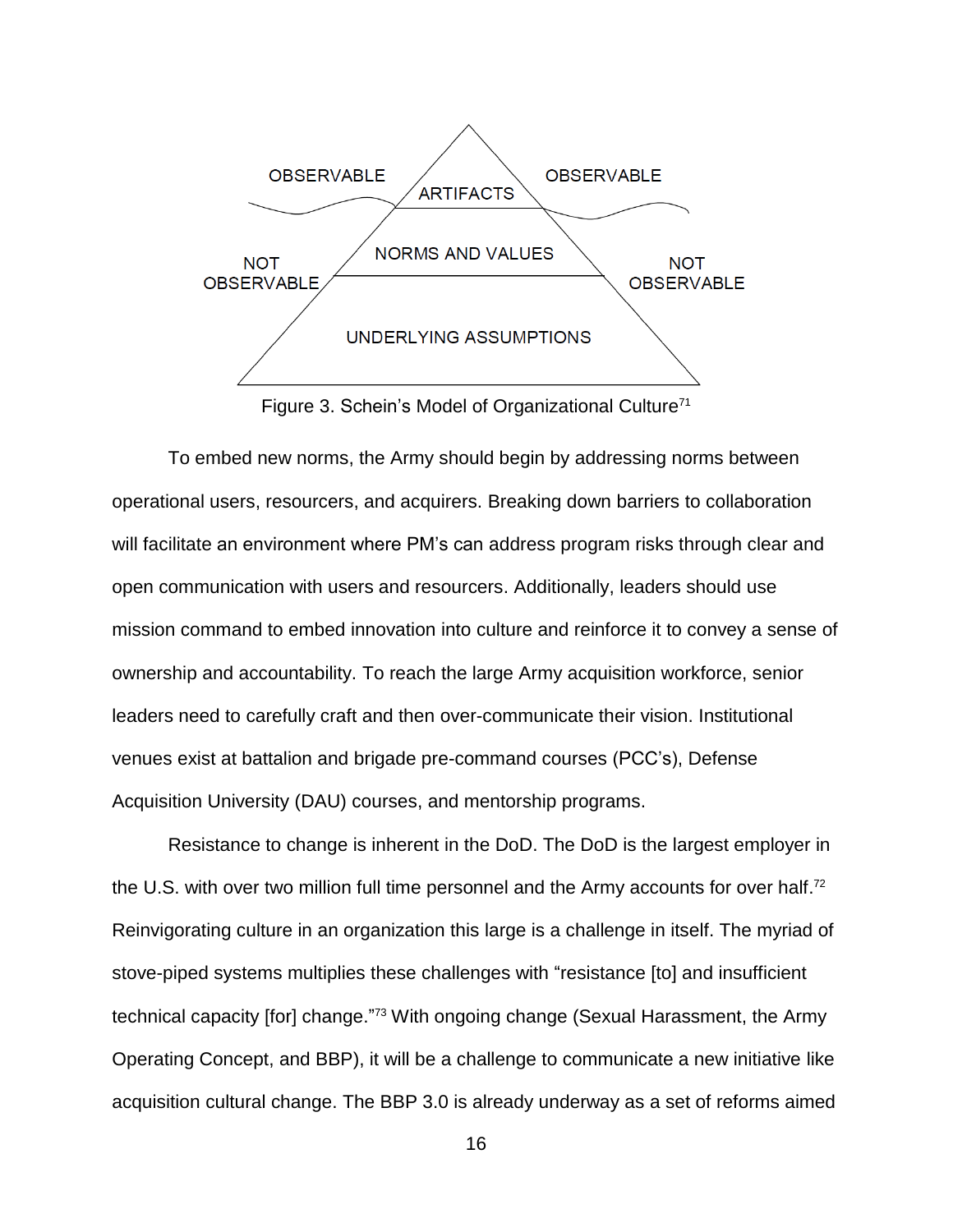

Figure 3. Schein's Model of Organizational Culture<sup>71</sup>

To embed new norms, the Army should begin by addressing norms between operational users, resourcers, and acquirers. Breaking down barriers to collaboration will facilitate an environment where PM's can address program risks through clear and open communication with users and resourcers. Additionally, leaders should use mission command to embed innovation into culture and reinforce it to convey a sense of ownership and accountability. To reach the large Army acquisition workforce, senior leaders need to carefully craft and then over-communicate their vision. Institutional venues exist at battalion and brigade pre-command courses (PCC's), Defense Acquisition University (DAU) courses, and mentorship programs.

Resistance to change is inherent in the DoD. The DoD is the largest employer in the U.S. with over two million full time personnel and the Army accounts for over half.<sup>72</sup> Reinvigorating culture in an organization this large is a challenge in itself. The myriad of stove-piped systems multiplies these challenges with "resistance [to] and insufficient technical capacity [for] change."<sup>73</sup> With ongoing change (Sexual Harassment, the Army Operating Concept, and BBP), it will be a challenge to communicate a new initiative like acquisition cultural change. The BBP 3.0 is already underway as a set of reforms aimed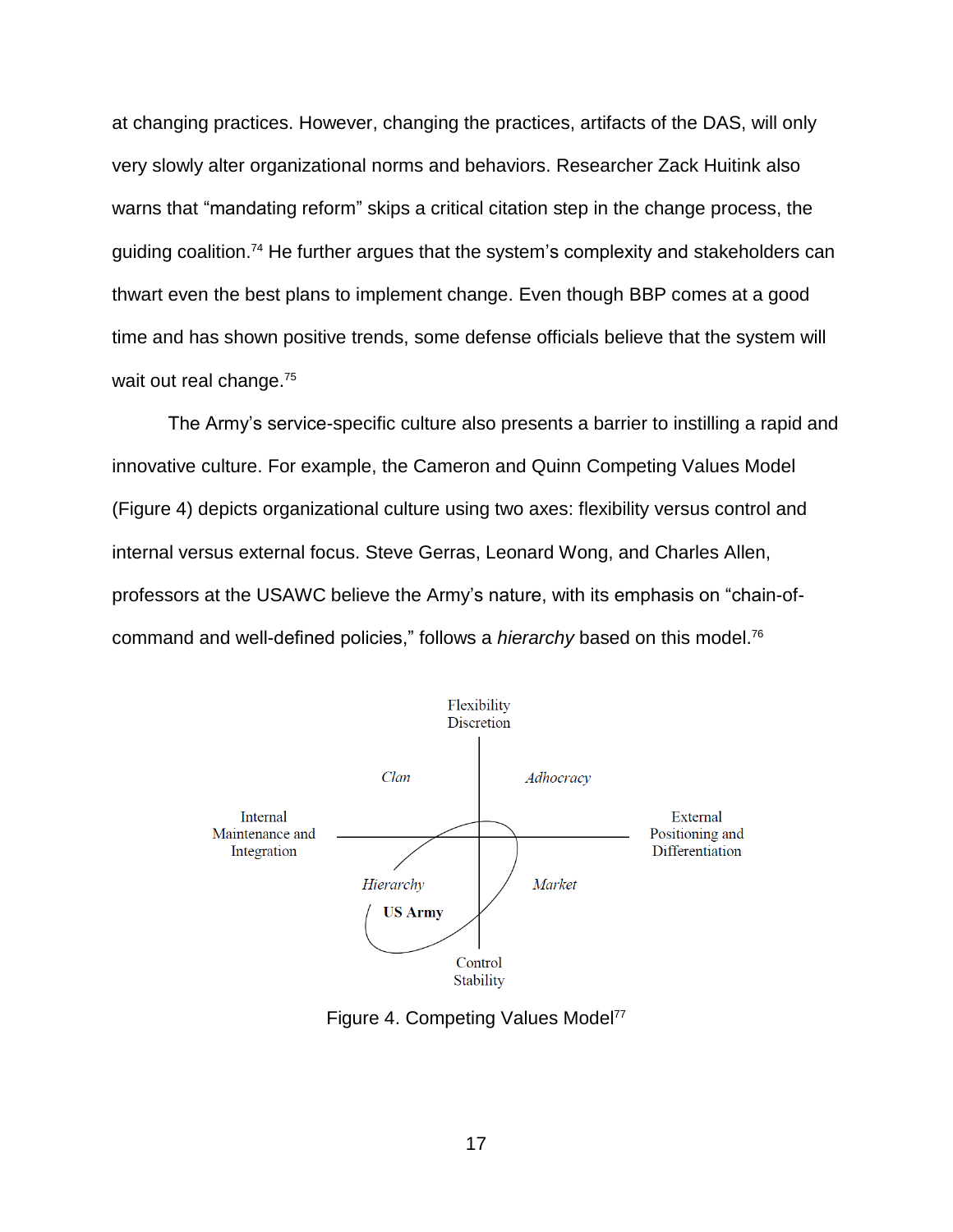at changing practices. However, changing the practices, artifacts of the DAS, will only very slowly alter organizational norms and behaviors. Researcher Zack Huitink also warns that "mandating reform" skips a critical citation step in the change process, the guiding coalition.<sup>74</sup> He further argues that the system's complexity and stakeholders can thwart even the best plans to implement change. Even though BBP comes at a good time and has shown positive trends, some defense officials believe that the system will wait out real change.<sup>75</sup>

The Army's service-specific culture also presents a barrier to instilling a rapid and innovative culture. For example, the Cameron and Quinn Competing Values Model (Figure 4) depicts organizational culture using two axes: flexibility versus control and internal versus external focus. Steve Gerras, Leonard Wong, and Charles Allen, professors at the USAWC believe the Army's nature, with its emphasis on "chain-ofcommand and well-defined policies," follows a *hierarchy* based on this model.<sup>76</sup>



Figure 4. Competing Values Model<sup>77</sup>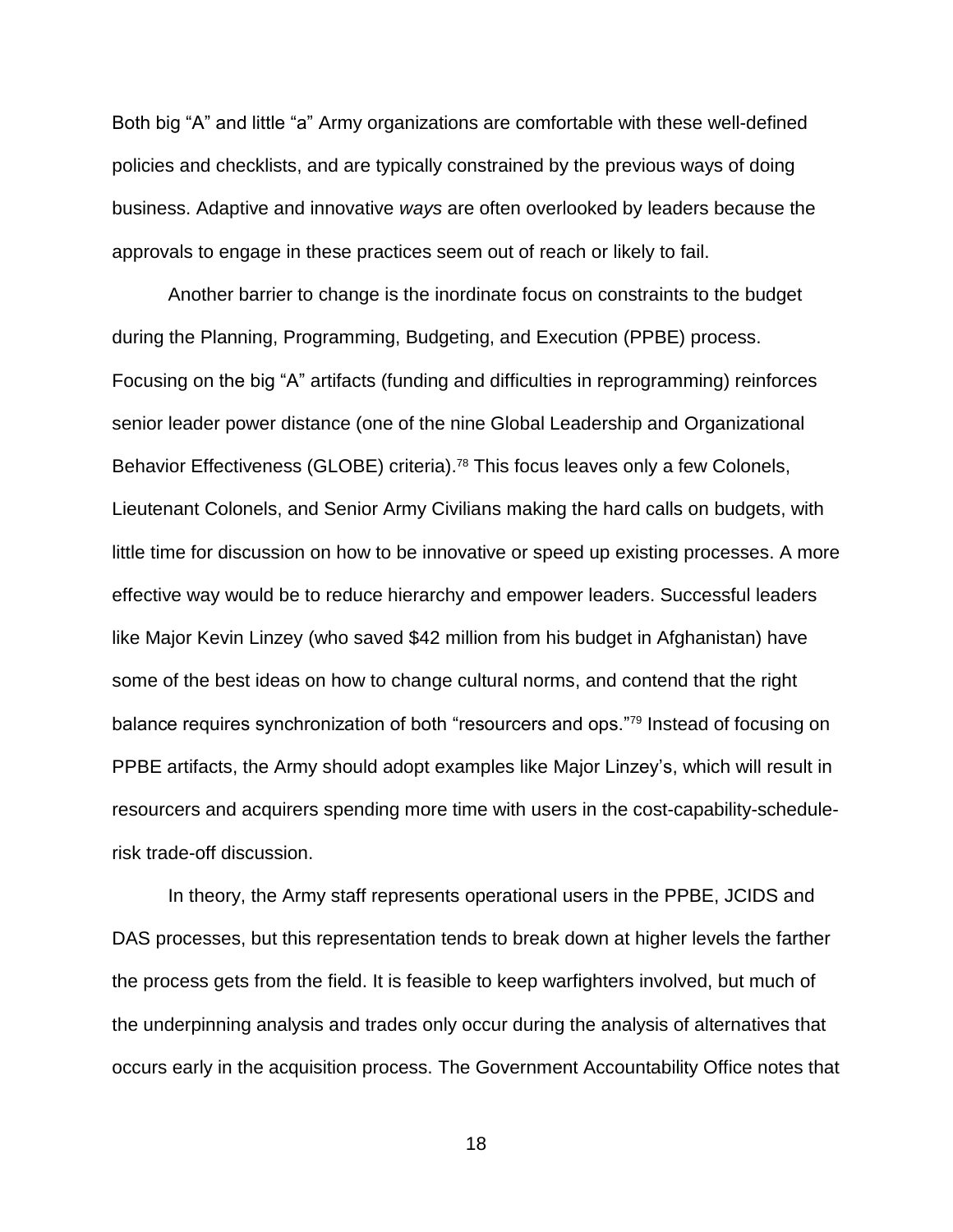Both big "A" and little "a" Army organizations are comfortable with these well-defined policies and checklists, and are typically constrained by the previous ways of doing business. Adaptive and innovative *ways* are often overlooked by leaders because the approvals to engage in these practices seem out of reach or likely to fail.

Another barrier to change is the inordinate focus on constraints to the budget during the Planning, Programming, Budgeting, and Execution (PPBE) process. Focusing on the big "A" artifacts (funding and difficulties in reprogramming) reinforces senior leader power distance (one of the nine Global Leadership and Organizational Behavior Effectiveness (GLOBE) criteria). <sup>78</sup> This focus leaves only a few Colonels, Lieutenant Colonels, and Senior Army Civilians making the hard calls on budgets, with little time for discussion on how to be innovative or speed up existing processes. A more effective way would be to reduce hierarchy and empower leaders. Successful leaders like Major Kevin Linzey (who saved \$42 million from his budget in Afghanistan) have some of the best ideas on how to change cultural norms, and contend that the right balance requires synchronization of both "resourcers and ops."<sup>79</sup> Instead of focusing on PPBE artifacts, the Army should adopt examples like Major Linzey's, which will result in resourcers and acquirers spending more time with users in the cost-capability-schedulerisk trade-off discussion.

In theory, the Army staff represents operational users in the PPBE, JCIDS and DAS processes, but this representation tends to break down at higher levels the farther the process gets from the field. It is feasible to keep warfighters involved, but much of the underpinning analysis and trades only occur during the analysis of alternatives that occurs early in the acquisition process. The Government Accountability Office notes that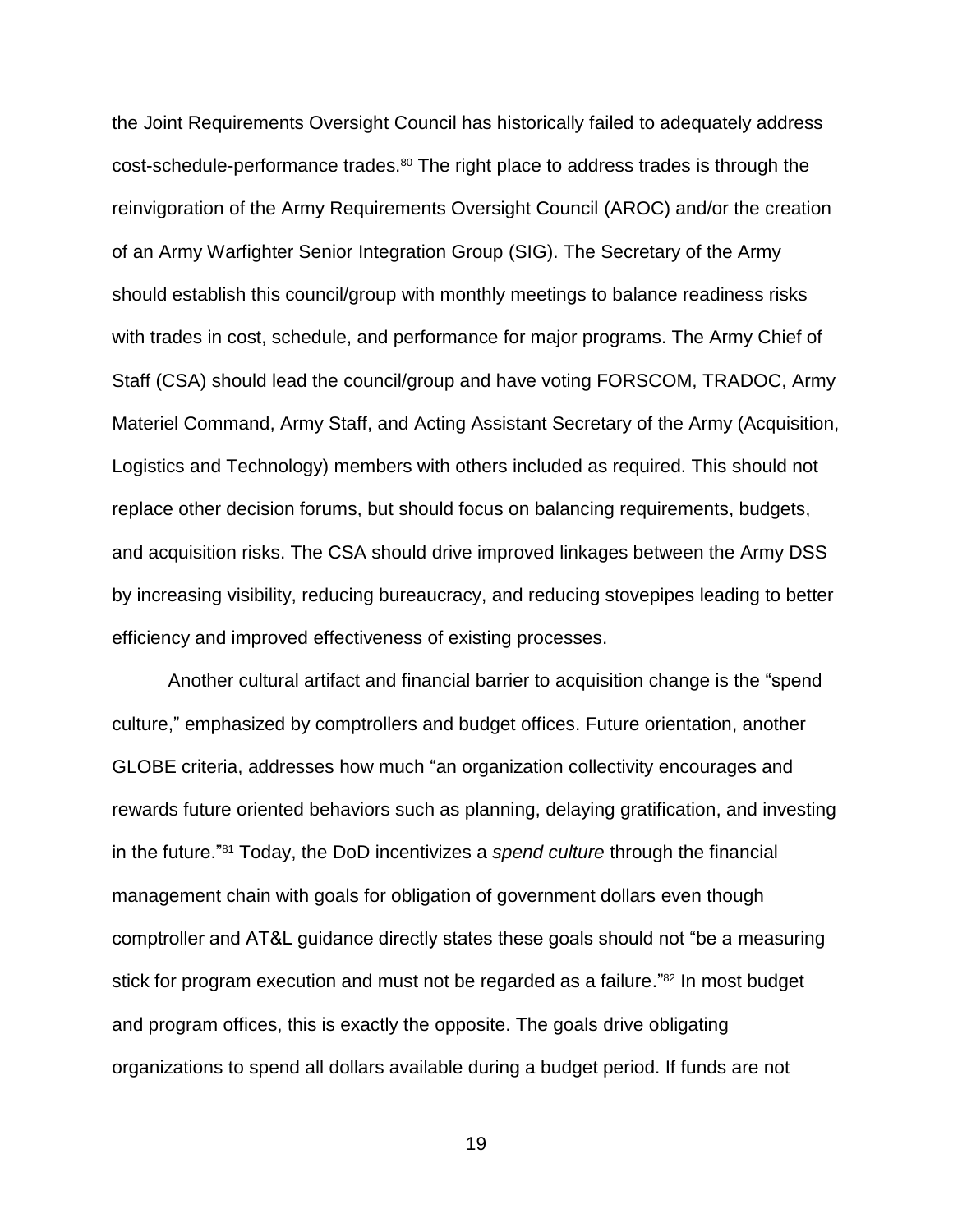the Joint Requirements Oversight Council has historically failed to adequately address cost-schedule-performance trades.<sup>80</sup> The right place to address trades is through the reinvigoration of the Army Requirements Oversight Council (AROC) and/or the creation of an Army Warfighter Senior Integration Group (SIG). The Secretary of the Army should establish this council/group with monthly meetings to balance readiness risks with trades in cost, schedule, and performance for major programs. The Army Chief of Staff (CSA) should lead the council/group and have voting FORSCOM, TRADOC, Army Materiel Command, Army Staff, and Acting Assistant Secretary of the Army (Acquisition, Logistics and Technology) members with others included as required. This should not replace other decision forums, but should focus on balancing requirements, budgets, and acquisition risks. The CSA should drive improved linkages between the Army DSS by increasing visibility, reducing bureaucracy, and reducing stovepipes leading to better efficiency and improved effectiveness of existing processes.

Another cultural artifact and financial barrier to acquisition change is the "spend culture," emphasized by comptrollers and budget offices. Future orientation, another GLOBE criteria, addresses how much "an organization collectivity encourages and rewards future oriented behaviors such as planning, delaying gratification, and investing in the future."<sup>81</sup> Today, the DoD incentivizes a *spend culture* through the financial management chain with goals for obligation of government dollars even though comptroller and AT&L guidance directly states these goals should not "be a measuring stick for program execution and must not be regarded as a failure."<sup>82</sup> In most budget and program offices, this is exactly the opposite. The goals drive obligating organizations to spend all dollars available during a budget period. If funds are not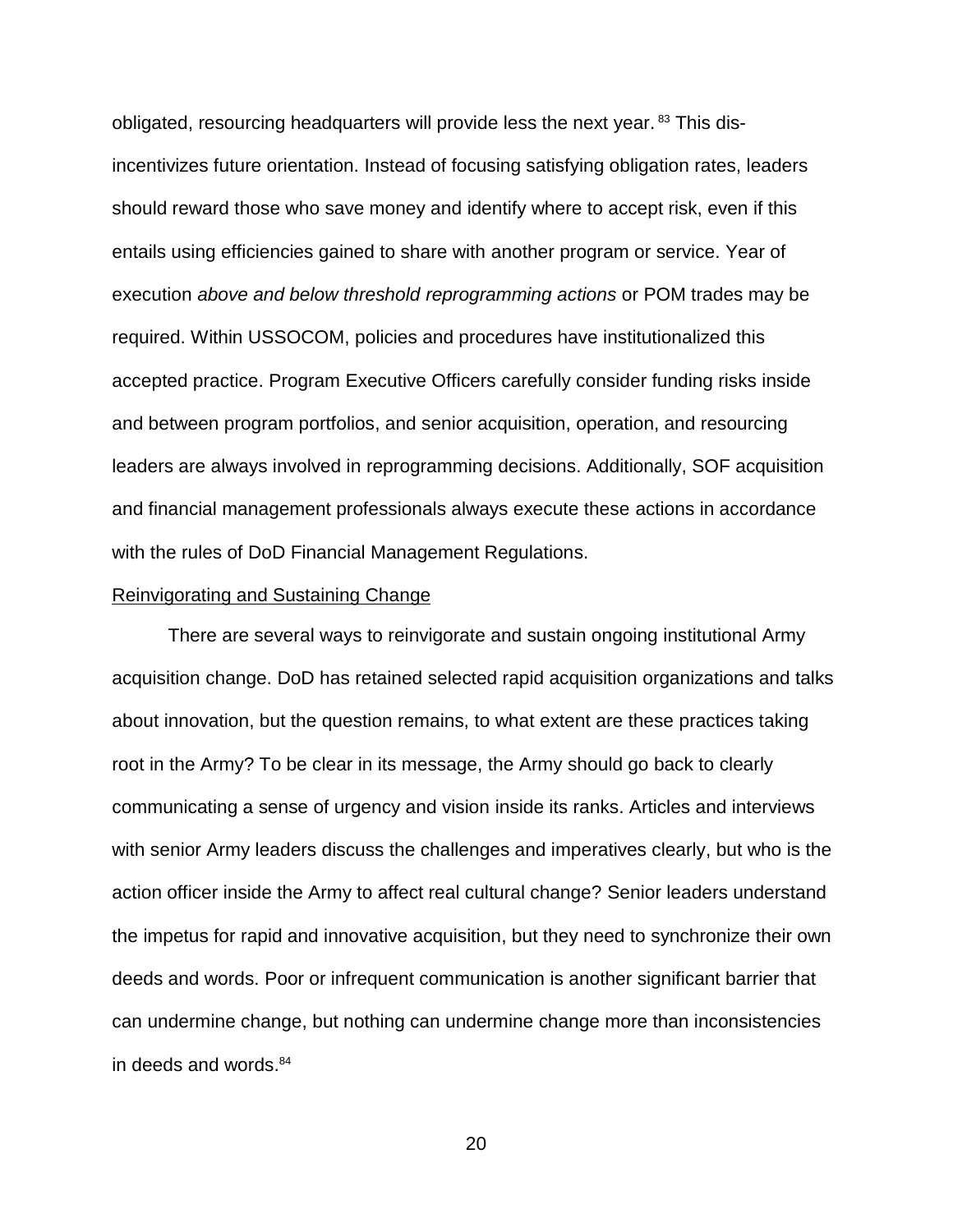obligated, resourcing headquarters will provide less the next year.<sup>83</sup> This disincentivizes future orientation. Instead of focusing satisfying obligation rates, leaders should reward those who save money and identify where to accept risk, even if this entails using efficiencies gained to share with another program or service. Year of execution *above and below threshold reprogramming actions* or POM trades may be required. Within USSOCOM, policies and procedures have institutionalized this accepted practice. Program Executive Officers carefully consider funding risks inside and between program portfolios, and senior acquisition, operation, and resourcing leaders are always involved in reprogramming decisions. Additionally, SOF acquisition and financial management professionals always execute these actions in accordance with the rules of DoD Financial Management Regulations.

### Reinvigorating and Sustaining Change

There are several ways to reinvigorate and sustain ongoing institutional Army acquisition change. DoD has retained selected rapid acquisition organizations and talks about innovation, but the question remains, to what extent are these practices taking root in the Army? To be clear in its message, the Army should go back to clearly communicating a sense of urgency and vision inside its ranks. Articles and interviews with senior Army leaders discuss the challenges and imperatives clearly, but who is the action officer inside the Army to affect real cultural change? Senior leaders understand the impetus for rapid and innovative acquisition, but they need to synchronize their own deeds and words. Poor or infrequent communication is another significant barrier that can undermine change, but nothing can undermine change more than inconsistencies in deeds and words.84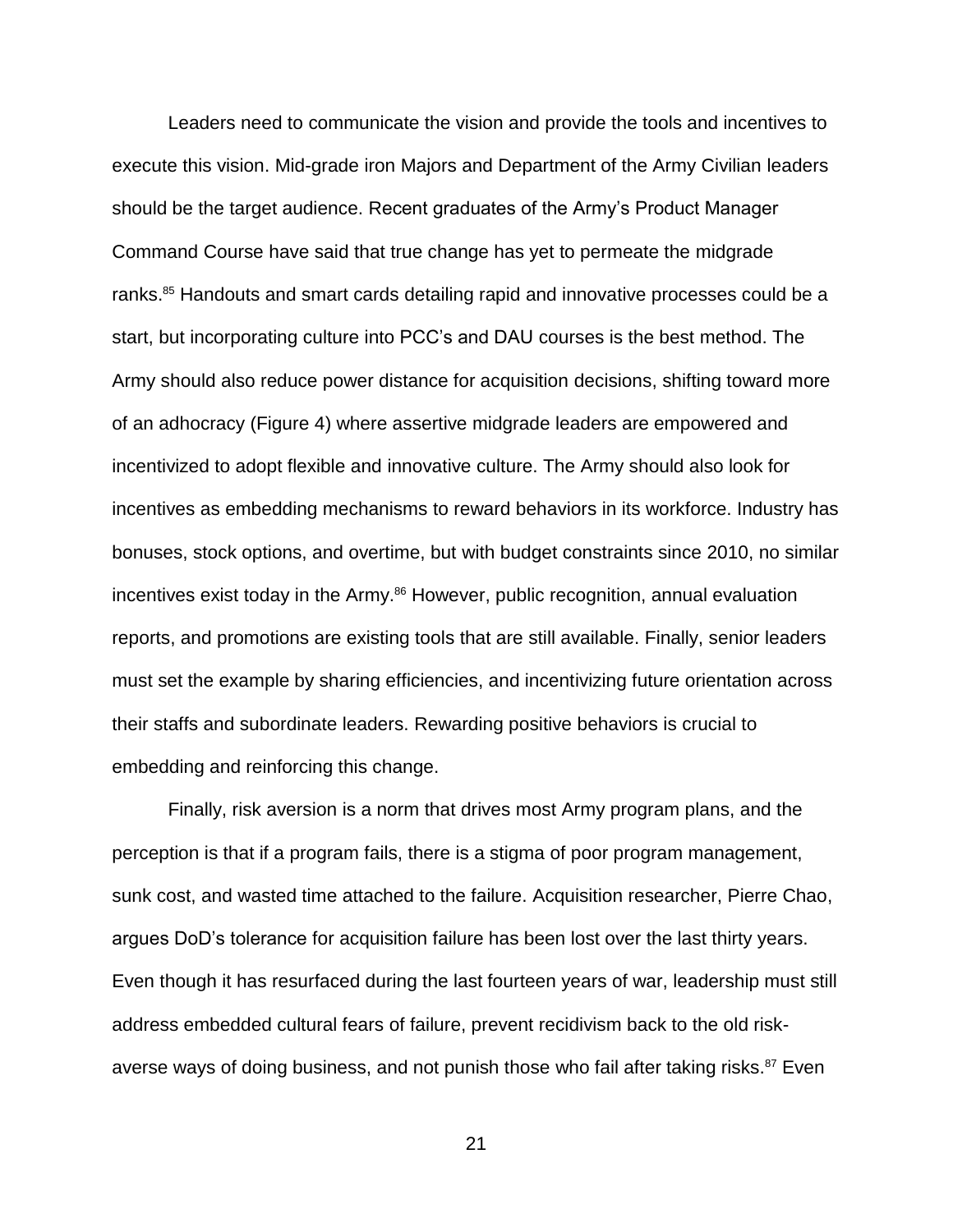Leaders need to communicate the vision and provide the tools and incentives to execute this vision. Mid-grade iron Majors and Department of the Army Civilian leaders should be the target audience. Recent graduates of the Army's Product Manager Command Course have said that true change has yet to permeate the midgrade ranks. <sup>85</sup> Handouts and smart cards detailing rapid and innovative processes could be a start, but incorporating culture into PCC's and DAU courses is the best method. The Army should also reduce power distance for acquisition decisions, shifting toward more of an adhocracy (Figure 4) where assertive midgrade leaders are empowered and incentivized to adopt flexible and innovative culture. The Army should also look for incentives as embedding mechanisms to reward behaviors in its workforce. Industry has bonuses, stock options, and overtime, but with budget constraints since 2010, no similar incentives exist today in the Army.<sup>86</sup> However, public recognition, annual evaluation reports, and promotions are existing tools that are still available. Finally, senior leaders must set the example by sharing efficiencies, and incentivizing future orientation across their staffs and subordinate leaders. Rewarding positive behaviors is crucial to embedding and reinforcing this change.

Finally, risk aversion is a norm that drives most Army program plans, and the perception is that if a program fails, there is a stigma of poor program management, sunk cost, and wasted time attached to the failure. Acquisition researcher, Pierre Chao, argues DoD's tolerance for acquisition failure has been lost over the last thirty years. Even though it has resurfaced during the last fourteen years of war, leadership must still address embedded cultural fears of failure, prevent recidivism back to the old riskaverse ways of doing business, and not punish those who fail after taking risks.<sup>87</sup> Even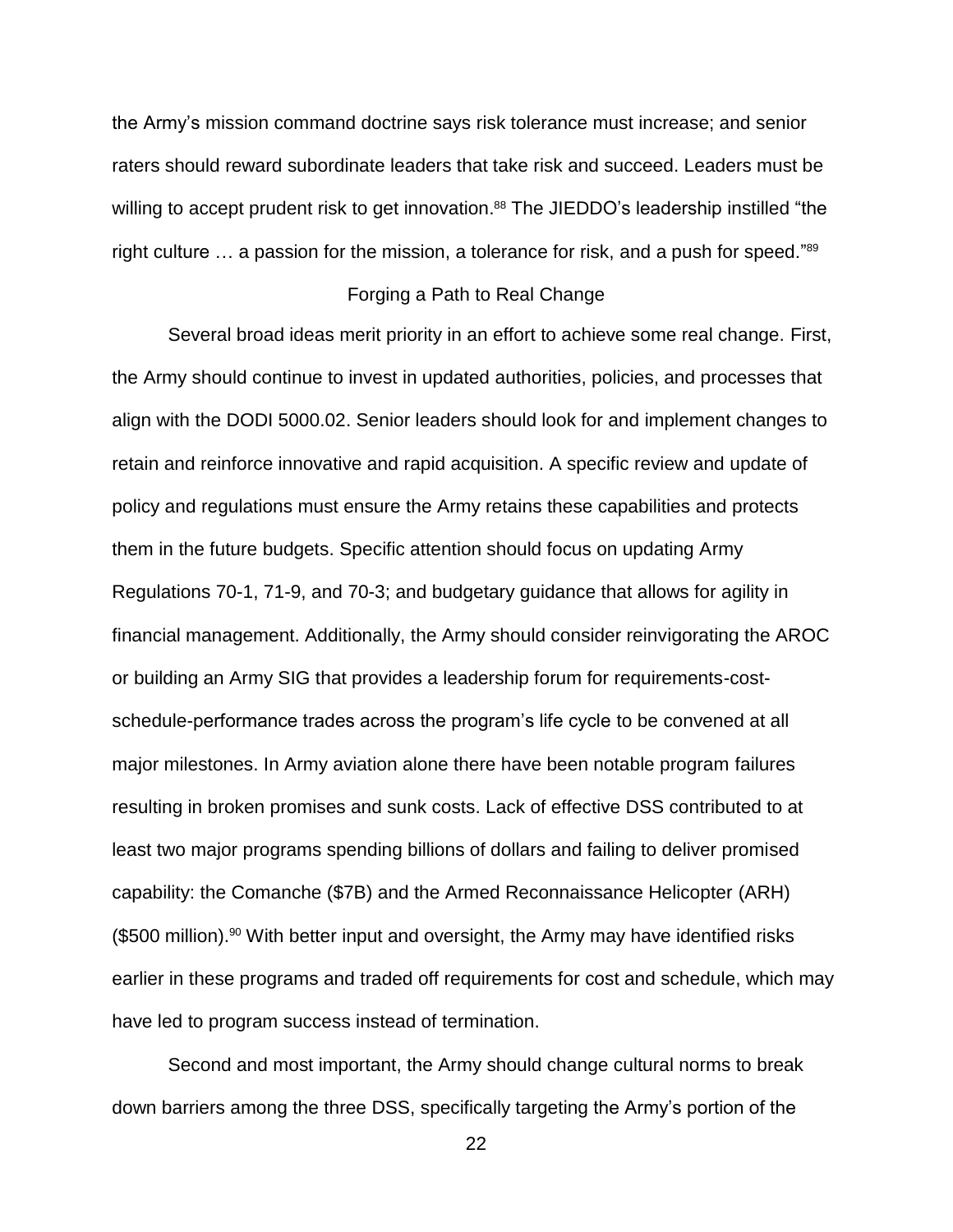the Army's mission command doctrine says risk tolerance must increase; and senior raters should reward subordinate leaders that take risk and succeed. Leaders must be willing to accept prudent risk to get innovation.<sup>88</sup> The JIEDDO's leadership instilled "the right culture ... a passion for the mission, a tolerance for risk, and a push for speed."<sup>89</sup>

### Forging a Path to Real Change

Several broad ideas merit priority in an effort to achieve some real change. First, the Army should continue to invest in updated authorities, policies, and processes that align with the DODI 5000.02. Senior leaders should look for and implement changes to retain and reinforce innovative and rapid acquisition. A specific review and update of policy and regulations must ensure the Army retains these capabilities and protects them in the future budgets. Specific attention should focus on updating Army Regulations 70-1, 71-9, and 70-3; and budgetary guidance that allows for agility in financial management. Additionally, the Army should consider reinvigorating the AROC or building an Army SIG that provides a leadership forum for requirements-costschedule-performance trades across the program's life cycle to be convened at all major milestones. In Army aviation alone there have been notable program failures resulting in broken promises and sunk costs. Lack of effective DSS contributed to at least two major programs spending billions of dollars and failing to deliver promised capability: the Comanche (\$7B) and the Armed Reconnaissance Helicopter (ARH)  $$500$  million).<sup>90</sup> With better input and oversight, the Army may have identified risks earlier in these programs and traded off requirements for cost and schedule, which may have led to program success instead of termination.

Second and most important, the Army should change cultural norms to break down barriers among the three DSS, specifically targeting the Army's portion of the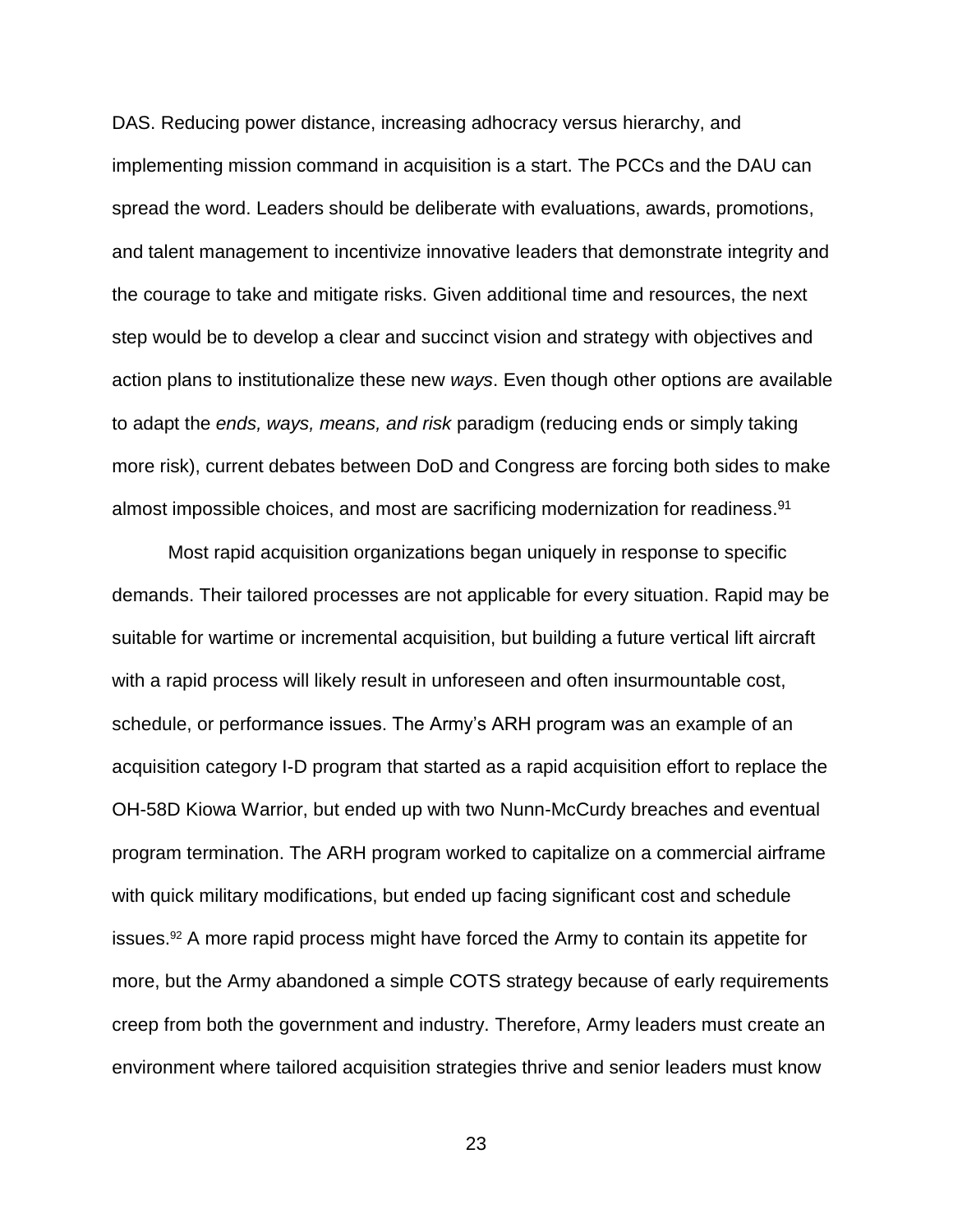DAS. Reducing power distance, increasing adhocracy versus hierarchy, and implementing mission command in acquisition is a start. The PCCs and the DAU can spread the word. Leaders should be deliberate with evaluations, awards, promotions, and talent management to incentivize innovative leaders that demonstrate integrity and the courage to take and mitigate risks. Given additional time and resources, the next step would be to develop a clear and succinct vision and strategy with objectives and action plans to institutionalize these new *ways*. Even though other options are available to adapt the *ends, ways, means, and risk* paradigm (reducing ends or simply taking more risk), current debates between DoD and Congress are forcing both sides to make almost impossible choices, and most are sacrificing modernization for readiness.<sup>91</sup>

Most rapid acquisition organizations began uniquely in response to specific demands. Their tailored processes are not applicable for every situation. Rapid may be suitable for wartime or incremental acquisition, but building a future vertical lift aircraft with a rapid process will likely result in unforeseen and often insurmountable cost, schedule, or performance issues. The Army's ARH program was an example of an acquisition category I-D program that started as a rapid acquisition effort to replace the OH-58D Kiowa Warrior, but ended up with two Nunn-McCurdy breaches and eventual program termination. The ARH program worked to capitalize on a commercial airframe with quick military modifications, but ended up facing significant cost and schedule issues.<sup>92</sup> A more rapid process might have forced the Army to contain its appetite for more, but the Army abandoned a simple COTS strategy because of early requirements creep from both the government and industry. Therefore, Army leaders must create an environment where tailored acquisition strategies thrive and senior leaders must know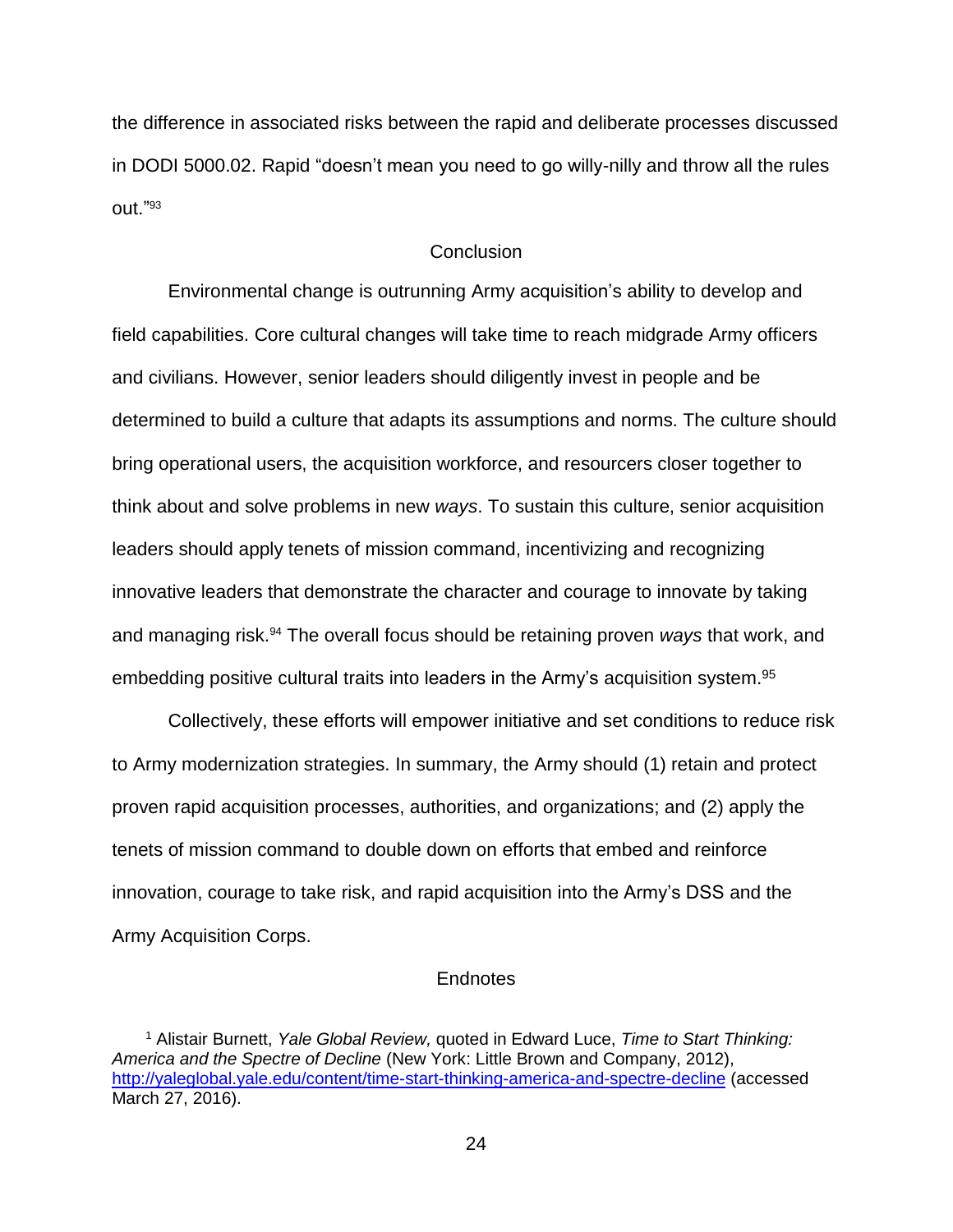the difference in associated risks between the rapid and deliberate processes discussed in DODI 5000.02. Rapid "doesn't mean you need to go willy-nilly and throw all the rules out."<sup>93</sup>

### **Conclusion**

Environmental change is outrunning Army acquisition's ability to develop and field capabilities. Core cultural changes will take time to reach midgrade Army officers and civilians. However, senior leaders should diligently invest in people and be determined to build a culture that adapts its assumptions and norms. The culture should bring operational users, the acquisition workforce, and resourcers closer together to think about and solve problems in new *ways*. To sustain this culture, senior acquisition leaders should apply tenets of mission command, incentivizing and recognizing innovative leaders that demonstrate the character and courage to innovate by taking and managing risk.<sup>94</sup> The overall focus should be retaining proven *ways* that work, and embedding positive cultural traits into leaders in the Army's acquisition system.<sup>95</sup>

Collectively, these efforts will empower initiative and set conditions to reduce risk to Army modernization strategies. In summary, the Army should (1) retain and protect proven rapid acquisition processes, authorities, and organizations; and (2) apply the tenets of mission command to double down on efforts that embed and reinforce innovation, courage to take risk, and rapid acquisition into the Army's DSS and the Army Acquisition Corps.

### **Endnotes**

<sup>1</sup> Alistair Burnett, *Yale Global Review,* quoted in Edward Luce, *Time to Start Thinking: America and the Spectre of Decline* (New York: Little Brown and Company, 2012), <http://yaleglobal.yale.edu/content/time-start-thinking-america-and-spectre-decline> (accessed March 27, 2016).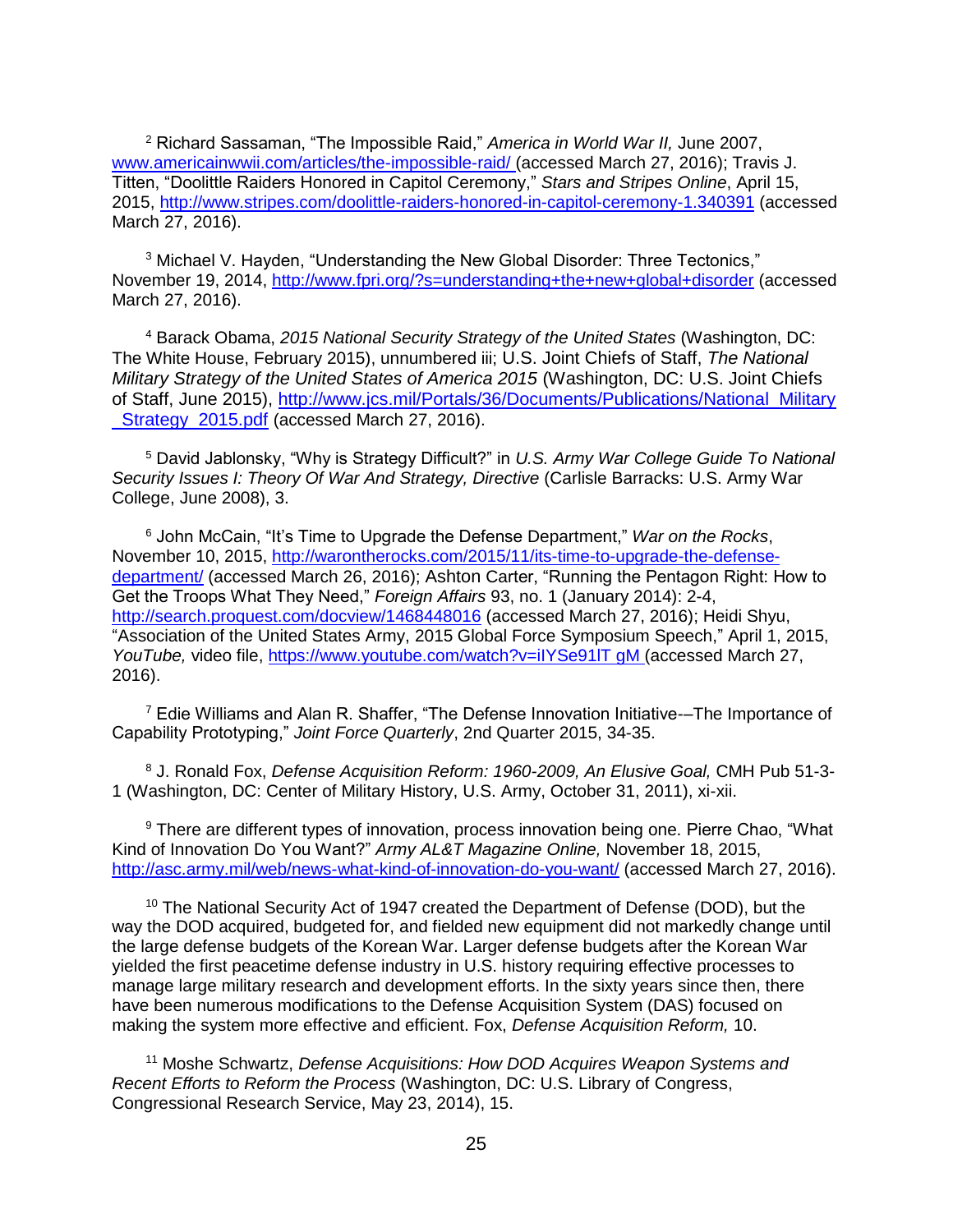<sup>2</sup> Richard Sassaman, "The Impossible Raid," *America in World War II,* June 2007, [www.americainwwii.com/articles/the-impossible-raid/](http://www.americainwwii.com/articles/the-impossible-raid/) (accessed March 27, 2016); Travis J. Titten, "Doolittle Raiders Honored in Capitol Ceremony," *Stars and Stripes Online*, April 15, 2015,<http://www.stripes.com/doolittle-raiders-honored-in-capitol-ceremony-1.340391> (accessed March 27, 2016).

<sup>3</sup> Michael V. Hayden, "Understanding the New Global Disorder: Three Tectonics," November 19, 2014,<http://www.fpri.org/?s=understanding+the+new+global+disorder> (accessed March 27, 2016).

<sup>4</sup> Barack Obama, *2015 National Security Strategy of the United States* (Washington, DC: The White House, February 2015), unnumbered iii; U.S. Joint Chiefs of Staff, *The National Military Strategy of the United States of America 2015* (Washington, DC: U.S. Joint Chiefs of Staff, June 2015), [http://www.jcs.mil/Portals/36/Documents/Publications/National\\_Military](http://www.jcs.mil/Portals/36/Documents/Publications/National_Military%20_Strategy_2015.pdf)  Strategy 2015.pdf (accessed March 27, 2016).

<sup>5</sup> David Jablonsky, "Why is Strategy Difficult?" in *U.S. Army War College Guide To National Security Issues I: Theory Of War And Strategy, Directive* (Carlisle Barracks: U.S. Army War College, June 2008), 3.

<sup>6</sup> John McCain, "It's Time to Upgrade the Defense Department," *War on the Rocks*, November 10, 2015, [http://warontherocks.com/2015/11/its-time-to-upgrade-the-defense](http://warontherocks.com/2015/11/its-time-to-upgrade-the-defense-department/)[department/](http://warontherocks.com/2015/11/its-time-to-upgrade-the-defense-department/) (accessed March 26, 2016); Ashton Carter, "Running the Pentagon Right: How to Get the Troops What They Need," *Foreign Affairs* 93, no. 1 (January 2014): 2-4, <http://search.proquest.com/docview/1468448016> (accessed March 27, 2016); Heidi Shyu, "Association of the United States Army, 2015 Global Force Symposium Speech," April 1, 2015, *YouTube,* video file, https:/[/www.youtube.com/watch?v=iIYSe91lT gM](http://www.youtube.com/watch?v=iIYSe91lT%20gM) (accessed March 27, 2016).

<sup>7</sup> Edie Williams and Alan R. Shaffer, "The Defense Innovation Initiative--The Importance of Capability Prototyping," *Joint Force Quarterly*, 2nd Quarter 2015, 34-35.

<sup>8</sup> J. Ronald Fox, *Defense Acquisition Reform: 1960-2009, An Elusive Goal,* CMH Pub 51-3- 1 (Washington, DC: Center of Military History, U.S. Army, October 31, 2011), xi-xii.

<sup>9</sup> There are different types of innovation, process innovation being one. Pierre Chao, "What Kind of Innovation Do You Want?" *Army AL&T Magazine Online,* November 18, 2015, <http://asc.army.mil/web/news-what-kind-of-innovation-do-you-want/> (accessed March 27, 2016).

<sup>10</sup> The National Security Act of 1947 created the Department of Defense (DOD), but the way the DOD acquired, budgeted for, and fielded new equipment did not markedly change until the large defense budgets of the Korean War. Larger defense budgets after the Korean War yielded the first peacetime defense industry in U.S. history requiring effective processes to manage large military research and development efforts. In the sixty years since then, there have been numerous modifications to the Defense Acquisition System (DAS) focused on making the system more effective and efficient. Fox, *Defense Acquisition Reform,* 10.

<sup>11</sup> Moshe Schwartz, *Defense Acquisitions: How DOD Acquires Weapon Systems and Recent Efforts to Reform the Process* (Washington, DC: U.S. Library of Congress, Congressional Research Service, May 23, 2014), 15.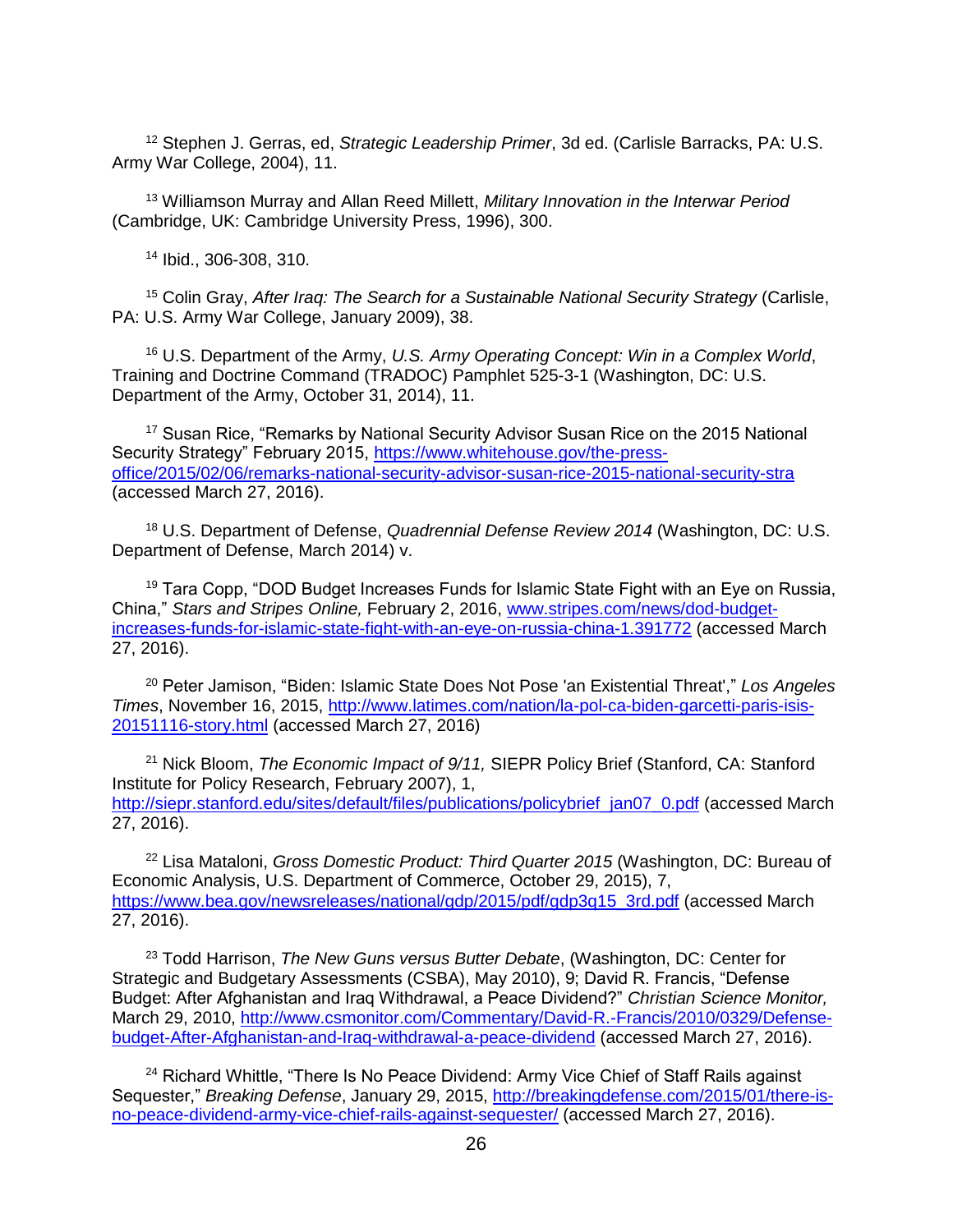<sup>12</sup> Stephen J. Gerras, ed, *Strategic Leadership Primer*, 3d ed. (Carlisle Barracks, PA: U.S. Army War College, 2004), 11.

<sup>13</sup> Williamson Murray and Allan Reed Millett, *Military Innovation in the Interwar Period* (Cambridge, UK: Cambridge University Press, 1996), 300.

<sup>14</sup> Ibid., 306-308, 310.

<sup>15</sup> Colin Gray, *After Iraq: The Search for a Sustainable National Security Strategy (Carlisle,* PA: U.S. Army War College, January 2009), 38.

<sup>16</sup> U.S. Department of the Army, *U.S. Army Operating Concept: Win in a Complex World*, Training and Doctrine Command (TRADOC) Pamphlet 525-3-1 (Washington, DC: U.S. Department of the Army, October 31, 2014), 11.

<sup>17</sup> Susan Rice, "Remarks by National Security Advisor Susan Rice on the 2015 National Security Strategy" February 2015, [https://www.whitehouse.gov/the-press](https://www.whitehouse.gov/the-press-office/2015/02/06/remarks-national-security-advisor-susan-rice-2015-national-security-stra)[office/2015/02/06/remarks-national-security-advisor-susan-rice-2015-national-security-stra](https://www.whitehouse.gov/the-press-office/2015/02/06/remarks-national-security-advisor-susan-rice-2015-national-security-stra) (accessed March 27, 2016).

<sup>18</sup> U.S. Department of Defense, *Quadrennial Defense Review 2014* (Washington, DC: U.S. Department of Defense, March 2014) v.

 $19$  Tara Copp, "DOD Budget Increases Funds for Islamic State Fight with an Eye on Russia, China," *Stars and Stripes Online,* February 2, 2016, [www.stripes.com/news/dod-budget](http://www.stripes.com/news/dod-budget-increases-funds-for-islamic-state-fight-with-an-eye-on-russia-china-1.391772)[increases-funds-for-islamic-state-fight-with-an-eye-on-russia-china-1.391772](http://www.stripes.com/news/dod-budget-increases-funds-for-islamic-state-fight-with-an-eye-on-russia-china-1.391772) (accessed March 27, 2016).

<sup>20</sup> Peter Jamison, "Biden: Islamic State Does Not Pose 'an Existential Threat'," *Los Angeles Times*, November 16, 2015, [http://www.latimes.com/nation/la-pol-ca-biden-garcetti-paris-isis-](http://www.latimes.com/nation/la-pol-ca-biden-garcetti-paris-isis-20151116-story.html)[20151116-story.html](http://www.latimes.com/nation/la-pol-ca-biden-garcetti-paris-isis-20151116-story.html) (accessed March 27, 2016)

<sup>21</sup> Nick Bloom, *The Economic Impact of 9/11,* SIEPR Policy Brief (Stanford, CA: Stanford Institute for Policy Research, February 2007), 1, [http://siepr.stanford.edu/sites/default/files/publications/policybrief\\_jan07\\_0.pdf](http://siepr.stanford.edu/sites/default/files/publications/policybrief_jan07_0.pdf) (accessed March 27, 2016).

<sup>22</sup> Lisa Mataloni, *Gross Domestic Product: Third Quarter 2015* (Washington, DC: Bureau of Economic Analysis, U.S. Department of Commerce, October 29, 2015), 7, [https://www.bea.gov/newsreleases/national/gdp/2015/pdf/gdp3q15\\_3rd.pdf](https://www.bea.gov/newsreleases/national/gdp/2015/pdf/gdp3q15_3rd.pdf) (accessed March 27, 2016).

<sup>23</sup> Todd Harrison, *The New Guns versus Butter Debate*, (Washington, DC: Center for Strategic and Budgetary Assessments (CSBA), May 2010), 9; David R. Francis, "Defense Budget: After Afghanistan and Iraq Withdrawal, a Peace Dividend?" *Christian Science Monitor,*  March 29, 2010, [http://www.csmonitor.com/Commentary/David-R.-Francis/2010/0329/Defense](http://www.csmonitor.com/Commentary/David-R.-Francis/2010/0329/Defense-budget-After-Afghanistan-and-Iraq-withdrawal-a-peace-dividend)[budget-After-Afghanistan-and-Iraq-withdrawal-a-peace-dividend](http://www.csmonitor.com/Commentary/David-R.-Francis/2010/0329/Defense-budget-After-Afghanistan-and-Iraq-withdrawal-a-peace-dividend) (accessed March 27, 2016).

 $24$  Richard Whittle, "There Is No Peace Dividend: Army Vice Chief of Staff Rails against Sequester," *Breaking Defense*, January 29, 2015, [http://breakingdefense.com/2015/01/there-is](http://breakingdefense.com/2015/01/there-is-no-peace-dividend-army-vice-chief-rails-against-sequester/)[no-peace-dividend-army-vice-chief-rails-against-sequester/](http://breakingdefense.com/2015/01/there-is-no-peace-dividend-army-vice-chief-rails-against-sequester/) (accessed March 27, 2016).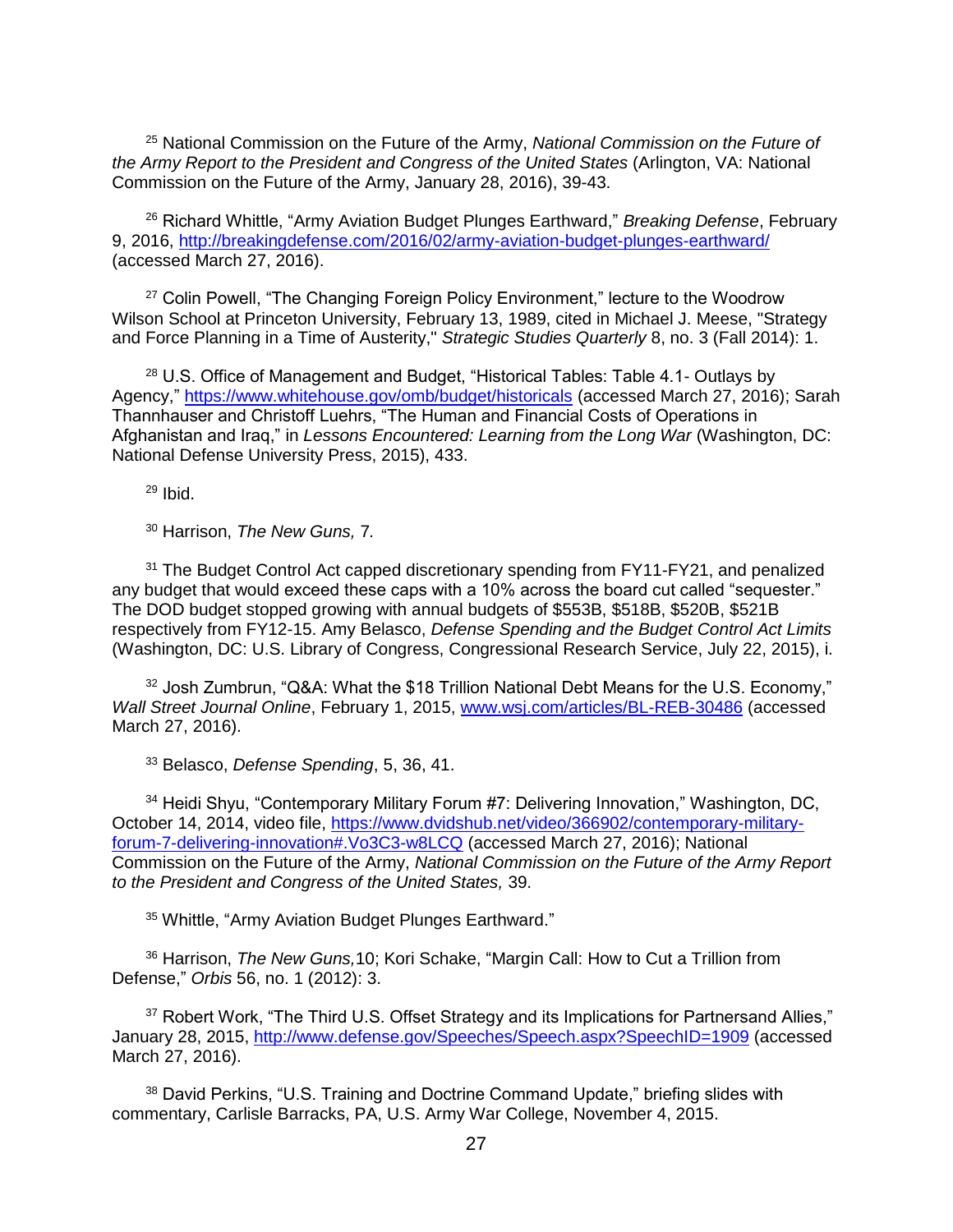<sup>25</sup> National Commission on the Future of the Army, *National Commission on the Future of the Army Report to the President and Congress of the United States* (Arlington, VA: National Commission on the Future of the Army, January 28, 2016), 39-43.

<sup>26</sup> Richard Whittle, "Army Aviation Budget Plunges Earthward," *Breaking Defense*, February 9, 2016,<http://breakingdefense.com/2016/02/army-aviation-budget-plunges-earthward/> (accessed March 27, 2016).

<sup>27</sup> Colin Powell, "The Changing Foreign Policy Environment," lecture to the Woodrow Wilson School at Princeton University, February 13, 1989, cited in Michael J. Meese, "Strategy and Force Planning in a Time of Austerity," *Strategic Studies Quarterly* 8, no. 3 (Fall 2014): 1.

<sup>28</sup> U.S. Office of Management and Budget, "Historical Tables: Table 4.1- Outlays by Agency,"<https://www.whitehouse.gov/omb/budget/historicals> (accessed March 27, 2016); Sarah Thannhauser and Christoff Luehrs, "The Human and Financial Costs of Operations in Afghanistan and Iraq," in *Lessons Encountered: Learning from the Long War* (Washington, DC: National Defense University Press, 2015), 433.

 $29$  Ibid.

<sup>30</sup> Harrison, *The New Guns,* 7*.*

<sup>31</sup> The Budget Control Act capped discretionary spending from FY11-FY21, and penalized any budget that would exceed these caps with a 10% across the board cut called "sequester." The DOD budget stopped growing with annual budgets of \$553B, \$518B, \$520B, \$521B respectively from FY12-15. Amy Belasco, *Defense Spending and the Budget Control Act Limits* (Washington, DC: U.S. Library of Congress, Congressional Research Service, July 22, 2015), i.

<sup>32</sup> Josh Zumbrun, "Q&A: What the \$18 Trillion National Debt Means for the U.S. Economy," *Wall Street Journal Online*, February 1, 2015, [www.wsj.com/articles/BL-REB-30486](http://www.wsj.com/articles/BL-REB-30486) (accessed March 27, 2016).

<sup>33</sup> Belasco, *Defense Spending*, 5, 36, 41.

<sup>34</sup> Heidi Shyu, "Contemporary Military Forum #7: Delivering Innovation," Washington, DC, October 14, 2014, video file, [https://www.dvidshub.net/video/366902/contemporary-military](https://www.dvidshub.net/video/366902/contemporary-military-forum-7-delivering-innovation#.Vo3C3-w8LCQ)[forum-7-delivering-innovation#.Vo3C3-w8LCQ](https://www.dvidshub.net/video/366902/contemporary-military-forum-7-delivering-innovation#.Vo3C3-w8LCQ) (accessed March 27, 2016); National Commission on the Future of the Army, *National Commission on the Future of the Army Report to the President and Congress of the United States,* 39.

<sup>35</sup> Whittle, "Army Aviation Budget Plunges Earthward."

<sup>36</sup> Harrison, *The New Guns,*10; Kori Schake, "Margin Call: How to Cut a Trillion from Defense," *Orbis* 56, no. 1 (2012): 3.

<sup>37</sup> Robert Work, "The Third U.S. Offset Strategy and its Implications for Partnersand Allies," January 28, 2015,<http://www.defense.gov/Speeches/Speech.aspx?SpeechID=1909> (accessed March 27, 2016).

<sup>38</sup> David Perkins, "U.S. Training and Doctrine Command Update," briefing slides with commentary, Carlisle Barracks, PA, U.S. Army War College, November 4, 2015.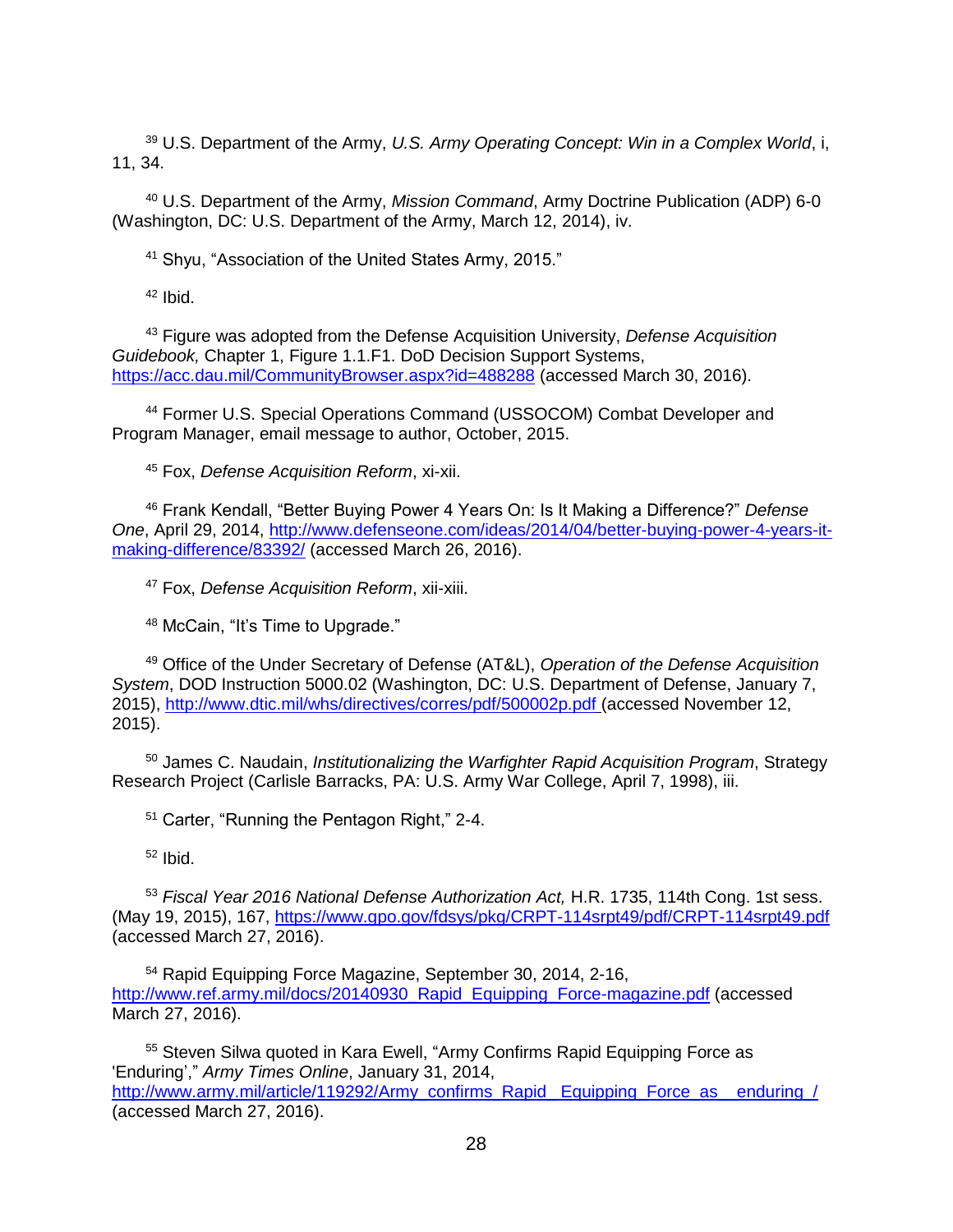<sup>39</sup> U.S. Department of the Army, *U.S. Army Operating Concept: Win in a Complex World*, i, 11, 34.

<sup>40</sup> U.S. Department of the Army, *Mission Command*, Army Doctrine Publication (ADP) 6-0 (Washington, DC: U.S. Department of the Army, March 12, 2014), iv.

<sup>41</sup> Shyu, "Association of the United States Army, 2015."

 $42$  Ibid.

<sup>43</sup> Figure was adopted from the Defense Acquisition University, *Defense Acquisition Guidebook,* Chapter 1, Figure 1.1.F1. DoD Decision Support Systems, <https://acc.dau.mil/CommunityBrowser.aspx?id=488288> (accessed March 30, 2016).

<sup>44</sup> Former U.S. Special Operations Command (USSOCOM) Combat Developer and Program Manager, email message to author, October, 2015.

<sup>45</sup> Fox, *Defense Acquisition Reform*, xi-xii.

<sup>46</sup> Frank Kendall, "Better Buying Power 4 Years On: Is It Making a Difference?" *Defense One*, April 29, 2014, [http://www.defenseone.com/ideas/2014/04/better-buying-power-4-years-it](http://www.defenseone.com/ideas/2014/04/better-buying-power-4-years-it-making-difference/83392/)[making-difference/83392/](http://www.defenseone.com/ideas/2014/04/better-buying-power-4-years-it-making-difference/83392/) (accessed March 26, 2016).

<sup>47</sup> Fox, *Defense Acquisition Reform*, xii-xiii.

<sup>48</sup> McCain, "It's Time to Upgrade."

<sup>49</sup> Office of the Under Secretary of Defense (AT&L), *Operation of the Defense Acquisition System*, DOD Instruction 5000.02 (Washington, DC: U.S. Department of Defense, January 7, 2015),<http://www.dtic.mil/whs/directives/corres/pdf/500002p.pdf> (accessed November 12, 2015).

<sup>50</sup> James C. Naudain, *Institutionalizing the Warfighter Rapid Acquisition Program*, Strategy Research Project (Carlisle Barracks, PA: U.S. Army War College, April 7, 1998), iii.

<sup>51</sup> Carter, "Running the Pentagon Right," 2-4.

 $52$  Ibid.

<sup>53</sup> *Fiscal Year 2016 National Defense Authorization Act,* H.R. 1735, 114th Cong. 1st sess. (May 19, 2015), 167,<https://www.gpo.gov/fdsys/pkg/CRPT-114srpt49/pdf/CRPT-114srpt49.pdf> (accessed March 27, 2016).

<sup>54</sup> Rapid Equipping Force Magazine, September 30, 2014, 2-16, [http://www.ref.army.mil/docs/20140930\\_Rapid\\_Equipping\\_Force-magazine.pdf](http://www.ref.army.mil/docs/20140930_Rapid_Equipping_Force-magazine.pdf) (accessed March 27, 2016).

<sup>55</sup> Steven Silwa quoted in Kara Ewell, "Army Confirms Rapid Equipping Force as 'Enduring'," *Army Times Online*, January 31, 2014, [http://www.army.mil/article/119292/Army\\_confirms\\_Rapid\\_ Equipping\\_Force\\_as\\_\\_enduring\\_/](http://www.army.mil/article/119292/Army_confirms_Rapid_%20Equipping_Force_as__enduring_/) (accessed March 27, 2016).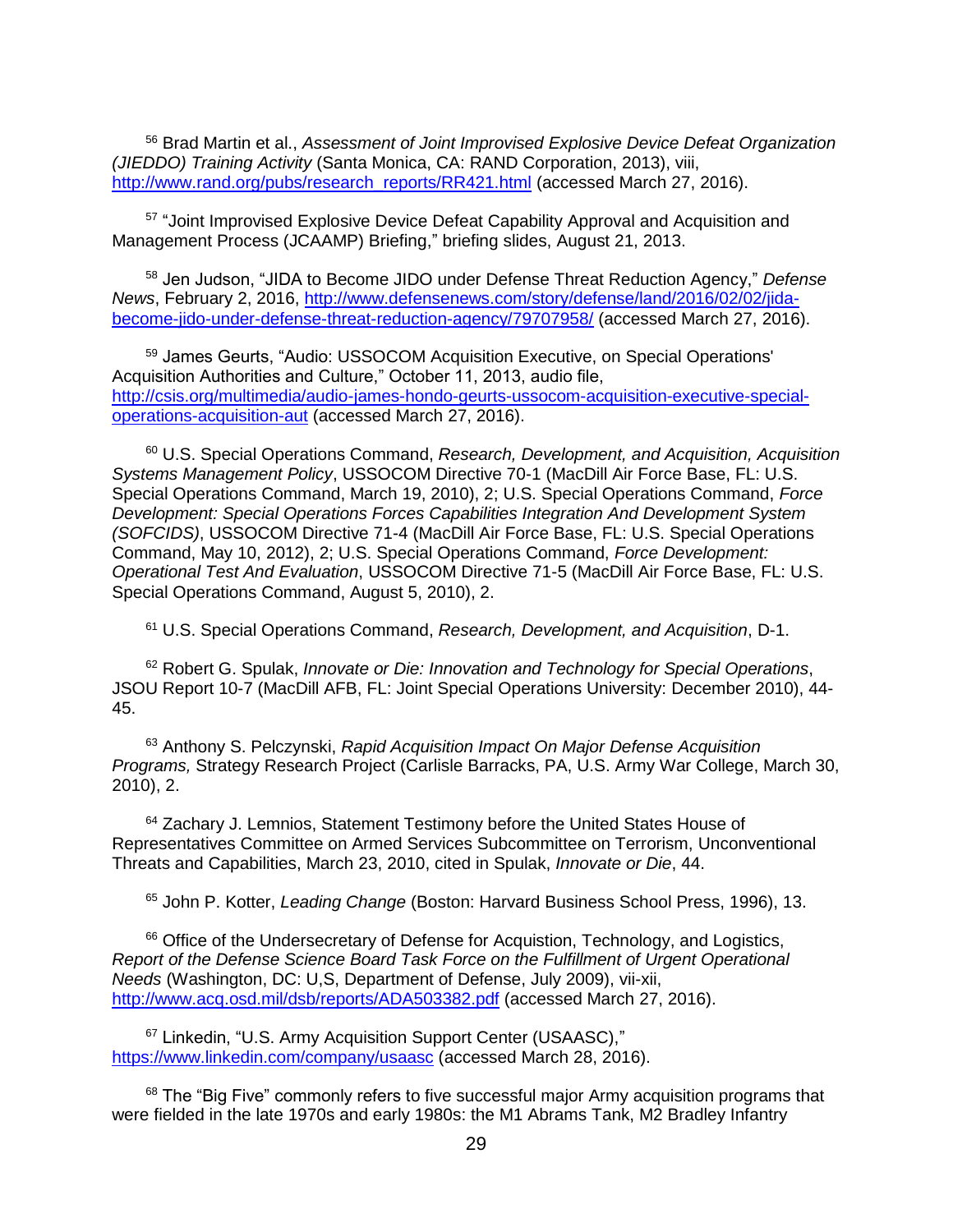<sup>56</sup> Brad Martin et al., *Assessment of Joint Improvised Explosive Device Defeat Organization (JIEDDO) Training Activity* (Santa Monica, CA: RAND Corporation, 2013), viii, [http://www.rand.org/pubs/research\\_reports/RR421.html](http://www.rand.org/pubs/research_reports/RR421.html) (accessed March 27, 2016).

<sup>57</sup> "Joint Improvised Explosive Device Defeat Capability Approval and Acquisition and Management Process (JCAAMP) Briefing," briefing slides, August 21, 2013.

<sup>58</sup> Jen Judson, "JIDA to Become JIDO under Defense Threat Reduction Agency," *Defense News*, February 2, 2016, [http://www.defensenews.com/story/defense/land/2016/02/02/jida](http://www.defensenews.com/story/defense/land/2016/02/02/jida-become-jido-under-defense-threat-reduction-agency/79707958/)[become-jido-under-defense-threat-reduction-agency/79707958/](http://www.defensenews.com/story/defense/land/2016/02/02/jida-become-jido-under-defense-threat-reduction-agency/79707958/) (accessed March 27, 2016).

<sup>59</sup> James Geurts, "Audio: USSOCOM Acquisition Executive, on Special Operations' Acquisition Authorities and Culture," October 11, 2013, audio file, [http://csis.org/multimedia/audio-james-hondo-geurts-ussocom-acquisition-executive-special](http://csis.org/multimedia/audio-james-hondo-geurts-ussocom-acquisition-executive-special-operations-acquisition-aut)[operations-acquisition-aut](http://csis.org/multimedia/audio-james-hondo-geurts-ussocom-acquisition-executive-special-operations-acquisition-aut) (accessed March 27, 2016).

<sup>60</sup> U.S. Special Operations Command, *Research, Development, and Acquisition, Acquisition Systems Management Policy*, USSOCOM Directive 70-1 (MacDill Air Force Base, FL: U.S. Special Operations Command, March 19, 2010), 2; U.S. Special Operations Command, *Force Development: Special Operations Forces Capabilities Integration And Development System (SOFCIDS)*, USSOCOM Directive 71-4 (MacDill Air Force Base, FL: U.S. Special Operations Command, May 10, 2012), 2; U.S. Special Operations Command, *Force Development: Operational Test And Evaluation*, USSOCOM Directive 71-5 (MacDill Air Force Base, FL: U.S. Special Operations Command, August 5, 2010), 2.

<sup>61</sup> U.S. Special Operations Command, *Research, Development, and Acquisition*, D-1.

<sup>62</sup> Robert G. Spulak, *Innovate or Die: Innovation and Technology for Special Operations*, JSOU Report 10-7 (MacDill AFB, FL: Joint Special Operations University: December 2010), 44- 45.

<sup>63</sup> Anthony S. Pelczynski, *Rapid Acquisition Impact On Major Defense Acquisition Programs,* Strategy Research Project (Carlisle Barracks, PA, U.S. Army War College, March 30, 2010), 2.

<sup>64</sup> Zachary J. Lemnios, Statement Testimony before the United States House of Representatives Committee on Armed Services Subcommittee on Terrorism, Unconventional Threats and Capabilities, March 23, 2010, cited in Spulak, *Innovate or Die*, 44.

<sup>65</sup> John P. Kotter, *Leading Change* (Boston: Harvard Business School Press, 1996), 13.

<sup>66</sup> Office of the Undersecretary of Defense for Acquistion, Technology, and Logistics, *Report of the Defense Science Board Task Force on the Fulfillment of Urgent Operational Needs* (Washington, DC: U,S, Department of Defense, July 2009), vii-xii, <http://www.acq.osd.mil/dsb/reports/ADA503382.pdf> (accessed March 27, 2016).

<sup>67</sup> Linkedin, "U.S. Army Acquisition Support Center (USAASC)," <https://www.linkedin.com/company/usaasc> (accessed March 28, 2016).

<sup>68</sup> The "Big Five" commonly refers to five successful major Army acquisition programs that were fielded in the late 1970s and early 1980s: the M1 Abrams Tank, M2 Bradley Infantry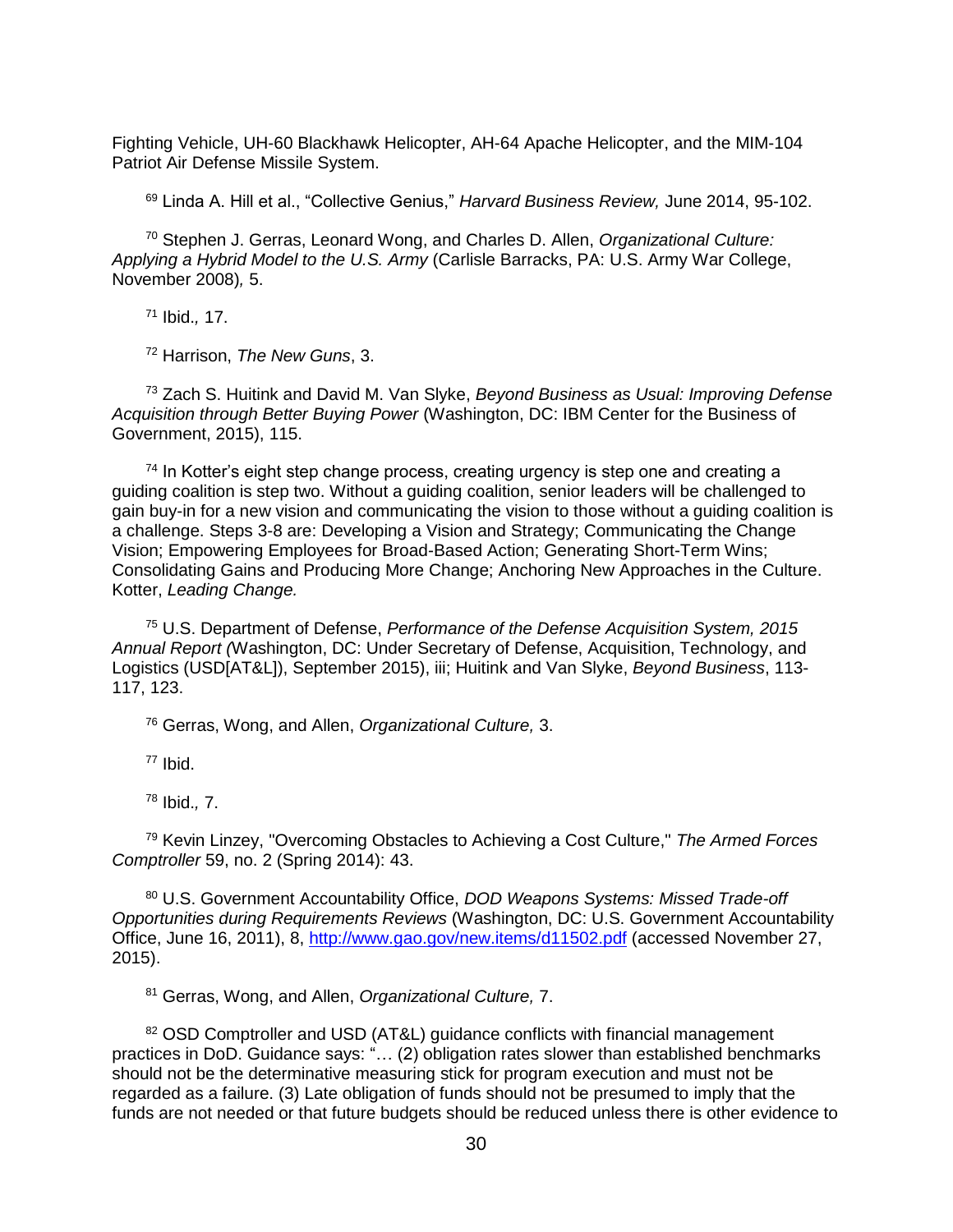Fighting Vehicle, UH-60 Blackhawk Helicopter, AH-64 Apache Helicopter, and the MIM-104 Patriot Air Defense Missile System.

<sup>69</sup> Linda A. Hill et al., "Collective Genius," *Harvard Business Review,* June 2014, 95-102.

<sup>70</sup> Stephen J. Gerras, Leonard Wong, and Charles D. Allen, *Organizational Culture: Applying a Hybrid Model to the U.S. Army* (Carlisle Barracks, PA: U.S. Army War College, November 2008)*,* 5.

<sup>71</sup> Ibid.*,* 17.

<sup>72</sup> Harrison, *The New Guns*, 3.

<sup>73</sup> Zach S. Huitink and David M. Van Slyke, *Beyond Business as Usual: Improving Defense Acquisition through Better Buying Power* (Washington, DC: IBM Center for the Business of Government, 2015), 115.

 $74$  In Kotter's eight step change process, creating urgency is step one and creating a guiding coalition is step two. Without a guiding coalition, senior leaders will be challenged to gain buy-in for a new vision and communicating the vision to those without a guiding coalition is a challenge. Steps 3-8 are: Developing a Vision and Strategy; Communicating the Change Vision; Empowering Employees for Broad-Based Action; Generating Short-Term Wins; Consolidating Gains and Producing More Change; Anchoring New Approaches in the Culture. Kotter, *Leading Change.*

<sup>75</sup> U.S. Department of Defense, *Performance of the Defense Acquisition System, 2015 Annual Report (*Washington, DC: Under Secretary of Defense, Acquisition, Technology, and Logistics (USD[AT&L]), September 2015), iii; Huitink and Van Slyke, *Beyond Business*, 113- 117, 123.

<sup>76</sup> Gerras, Wong, and Allen, *Organizational Culture,* 3.

<sup>77</sup> Ibid.

<sup>78</sup> Ibid.*,* 7.

<sup>79</sup> Kevin Linzey, "Overcoming Obstacles to Achieving a Cost Culture," *The Armed Forces Comptroller* 59, no. 2 (Spring 2014): 43.

<sup>80</sup> U.S. Government Accountability Office, *DOD Weapons Systems: Missed Trade-off Opportunities during Requirements Reviews* (Washington, DC: U.S. Government Accountability Office, June 16, 2011), 8,<http://www.gao.gov/new.items/d11502.pdf> (accessed November 27, 2015).

<sup>81</sup> Gerras, Wong, and Allen, *Organizational Culture,* 7.

<sup>82</sup> OSD Comptroller and USD (AT&L) guidance conflicts with financial management practices in DoD. Guidance says: "… (2) obligation rates slower than established benchmarks should not be the determinative measuring stick for program execution and must not be regarded as a failure. (3) Late obligation of funds should not be presumed to imply that the funds are not needed or that future budgets should be reduced unless there is other evidence to